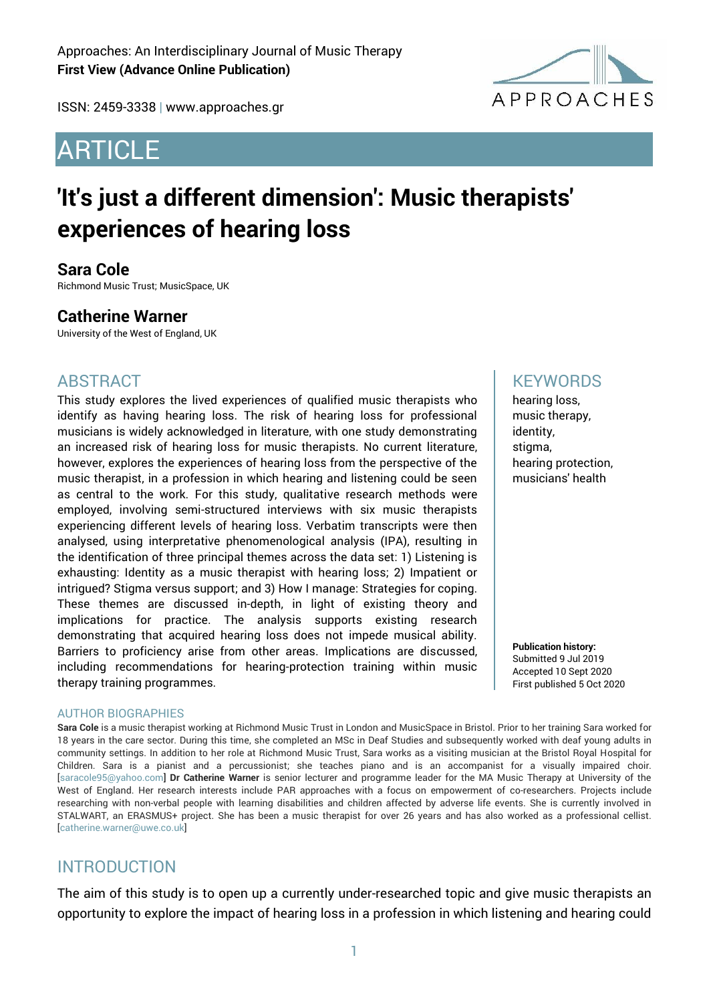ISSN: 2459-3338 | www.approaches.gr

# ARTICLE



# **'It's just a different dimension': Music therapists' experiences of hearing loss**

### **Sara Cole**

Richmond Music Trust; MusicSpace, UK

### **Catherine Warner**

University of the West of England, UK

### ABSTRACT

This study explores the lived experiences of qualified music therapists who identify as having hearing loss. The risk of hearing loss for professional musicians is widely acknowledged in literature, with one study demonstrating an increased risk of hearing loss for music therapists. No current literature, however, explores the experiences of hearing loss from the perspective of the music therapist, in a profession in which hearing and listening could be seen as central to the work. For this study, qualitative research methods were employed, involving semi-structured interviews with six music therapists experiencing different levels of hearing loss. Verbatim transcripts were then analysed, using interpretative phenomenological analysis (IPA), resulting in the identification of three principal themes across the data set: 1) Listening is exhausting: Identity as a music therapist with hearing loss; 2) Impatient or intrigued? Stigma versus support; and 3) How I manage: Strategies for coping. These themes are discussed in-depth, in light of existing theory and implications for practice. The analysis supports existing research demonstrating that acquired hearing loss does not impede musical ability. Barriers to proficiency arise from other areas. Implications are discussed, including recommendations for hearing-protection training within music therapy training programmes.

#### AUTHOR BIOGRAPHIES

**Sara Cole** is a music therapist working at Richmond Music Trust in London and MusicSpace in Bristol. Prior to her training Sara worked for 18 years in the care sector. During this time, she completed an MSc in Deaf Studies and subsequently worked with deaf young adults in community settings. In addition to her role at Richmond Music Trust, Sara works as a visiting musician at the Bristol Royal Hospital for Children. Sara is a pianist and a percussionist; she teaches piano and is an accompanist for a visually impaired choir. [saracole95@yahoo.com] **Dr Catherine Warner** is senior lecturer and programme leader for the MA Music Therapy at University of the West of England. Her research interests include PAR approaches with a focus on empowerment of co-researchers. Projects include researching with non-verbal people with learning disabilities and children affected by adverse life events. She is currently involved in STALWART, an ERASMUS+ project. She has been a music therapist for over 26 years and has also worked as a professional cellist. [catherine.warner@uwe.co.uk]

### INTRODUCTION

The aim of this study is to open up a currently under-researched topic and give music therapists an opportunity to explore the impact of hearing loss in a profession in which listening and hearing could

### **KFYWORDS**

hearing loss, music therapy, identity, stigma, hearing protection, musicians' health

**Publication history:**  Submitted 9 Jul 2019 Accepted 10 Sept 2020 First published 5 Oct 2020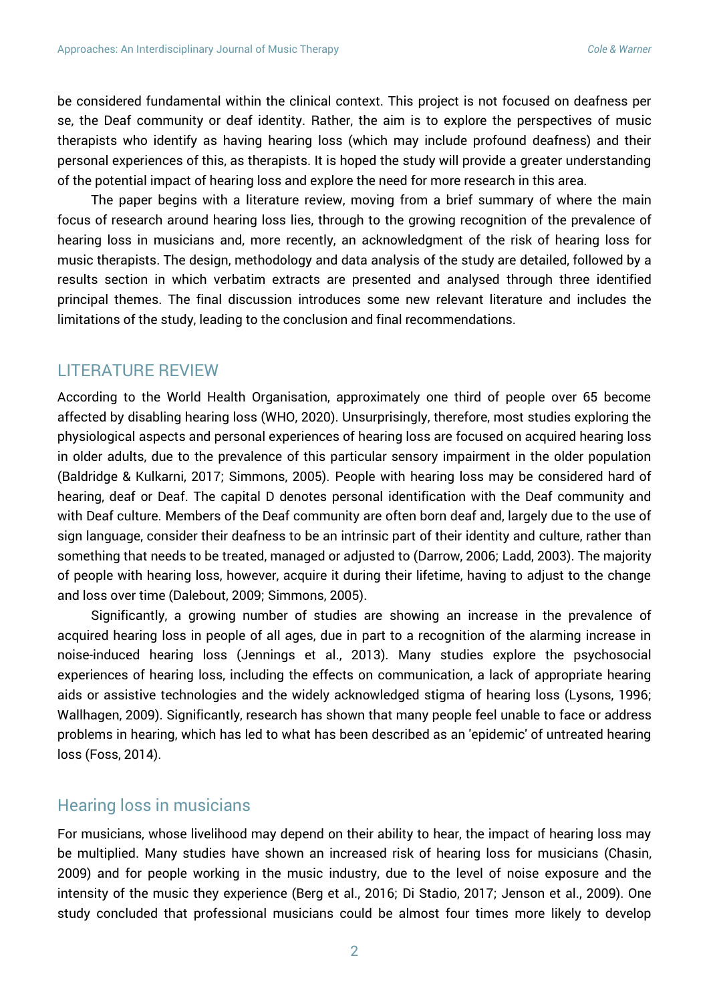be considered fundamental within the clinical context. This project is not focused on deafness per se, the Deaf community or deaf identity. Rather, the aim is to explore the perspectives of music therapists who identify as having hearing loss (which may include profound deafness) and their personal experiences of this, as therapists. It is hoped the study will provide a greater understanding of the potential impact of hearing loss and explore the need for more research in this area.

The paper begins with a literature review, moving from a brief summary of where the main focus of research around hearing loss lies, through to the growing recognition of the prevalence of hearing loss in musicians and, more recently, an acknowledgment of the risk of hearing loss for music therapists. The design, methodology and data analysis of the study are detailed, followed by a results section in which verbatim extracts are presented and analysed through three identified principal themes. The final discussion introduces some new relevant literature and includes the limitations of the study, leading to the conclusion and final recommendations.

#### LITERATURE REVIEW

According to the World Health Organisation, approximately one third of people over 65 become affected by disabling hearing loss (WHO, 2020). Unsurprisingly, therefore, most studies exploring the physiological aspects and personal experiences of hearing loss are focused on acquired hearing loss in older adults, due to the prevalence of this particular sensory impairment in the older population (Baldridge & Kulkarni, 2017; Simmons, 2005). People with hearing loss may be considered hard of hearing, deaf or Deaf. The capital D denotes personal identification with the Deaf community and with Deaf culture. Members of the Deaf community are often born deaf and, largely due to the use of sign language, consider their deafness to be an intrinsic part of their identity and culture, rather than something that needs to be treated, managed or adjusted to (Darrow, 2006; Ladd, 2003). The majority of people with hearing loss, however, acquire it during their lifetime, having to adjust to the change and loss over time (Dalebout, 2009; Simmons, 2005).

Significantly, a growing number of studies are showing an increase in the prevalence of acquired hearing loss in people of all ages, due in part to a recognition of the alarming increase in noise-induced hearing loss (Jennings et al., 2013). Many studies explore the psychosocial experiences of hearing loss, including the effects on communication, a lack of appropriate hearing aids or assistive technologies and the widely acknowledged stigma of hearing loss (Lysons, 1996; Wallhagen, 2009). Significantly, research has shown that many people feel unable to face or address problems in hearing, which has led to what has been described as an 'epidemic' of untreated hearing loss (Foss, 2014).

#### Hearing loss in musicians

For musicians, whose livelihood may depend on their ability to hear, the impact of hearing loss may be multiplied. Many studies have shown an increased risk of hearing loss for musicians (Chasin, 2009) and for people working in the music industry, due to the level of noise exposure and the intensity of the music they experience (Berg et al., 2016; Di Stadio, 2017; Jenson et al., 2009). One study concluded that professional musicians could be almost four times more likely to develop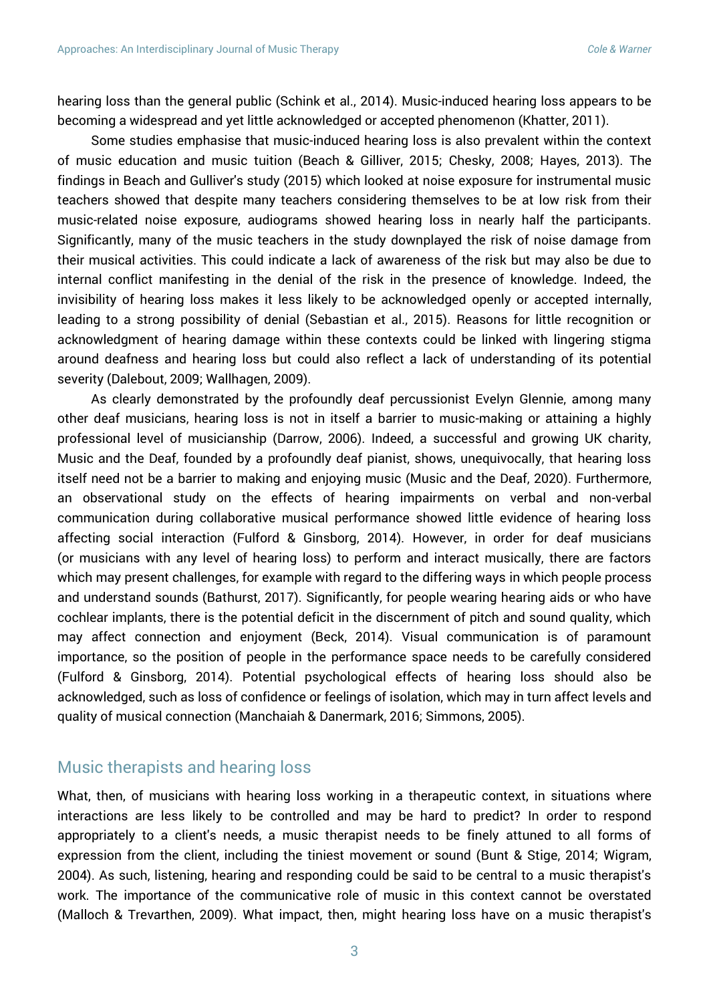hearing loss than the general public (Schink et al., 2014). Music-induced hearing loss appears to be becoming a widespread and yet little acknowledged or accepted phenomenon (Khatter, 2011).

Some studies emphasise that music-induced hearing loss is also prevalent within the context of music education and music tuition (Beach & Gilliver, 2015; Chesky, 2008; Hayes, 2013). The findings in Beach and Gulliver's study (2015) which looked at noise exposure for instrumental music teachers showed that despite many teachers considering themselves to be at low risk from their music-related noise exposure, audiograms showed hearing loss in nearly half the participants. Significantly, many of the music teachers in the study downplayed the risk of noise damage from their musical activities. This could indicate a lack of awareness of the risk but may also be due to internal conflict manifesting in the denial of the risk in the presence of knowledge. Indeed, the invisibility of hearing loss makes it less likely to be acknowledged openly or accepted internally, leading to a strong possibility of denial (Sebastian et al., 2015). Reasons for little recognition or acknowledgment of hearing damage within these contexts could be linked with lingering stigma around deafness and hearing loss but could also reflect a lack of understanding of its potential severity (Dalebout, 2009; Wallhagen, 2009).

As clearly demonstrated by the profoundly deaf percussionist Evelyn Glennie, among many other deaf musicians, hearing loss is not in itself a barrier to music-making or attaining a highly professional level of musicianship (Darrow, 2006). Indeed, a successful and growing UK charity, Music and the Deaf, founded by a profoundly deaf pianist, shows, unequivocally, that hearing loss itself need not be a barrier to making and enjoying music (Music and the Deaf, 2020). Furthermore, an observational study on the effects of hearing impairments on verbal and non-verbal communication during collaborative musical performance showed little evidence of hearing loss affecting social interaction (Fulford & Ginsborg, 2014). However, in order for deaf musicians (or musicians with any level of hearing loss) to perform and interact musically, there are factors which may present challenges, for example with regard to the differing ways in which people process and understand sounds (Bathurst, 2017). Significantly, for people wearing hearing aids or who have cochlear implants, there is the potential deficit in the discernment of pitch and sound quality, which may affect connection and enjoyment (Beck, 2014). Visual communication is of paramount importance, so the position of people in the performance space needs to be carefully considered (Fulford & Ginsborg, 2014). Potential psychological effects of hearing loss should also be acknowledged, such as loss of confidence or feelings of isolation, which may in turn affect levels and quality of musical connection (Manchaiah & Danermark, 2016; Simmons, 2005).

### Music therapists and hearing loss

What, then, of musicians with hearing loss working in a therapeutic context, in situations where interactions are less likely to be controlled and may be hard to predict? In order to respond appropriately to a client's needs, a music therapist needs to be finely attuned to all forms of expression from the client, including the tiniest movement or sound (Bunt & Stige, 2014; Wigram, 2004). As such, listening, hearing and responding could be said to be central to a music therapist's work. The importance of the communicative role of music in this context cannot be overstated (Malloch & Trevarthen, 2009). What impact, then, might hearing loss have on a music therapist's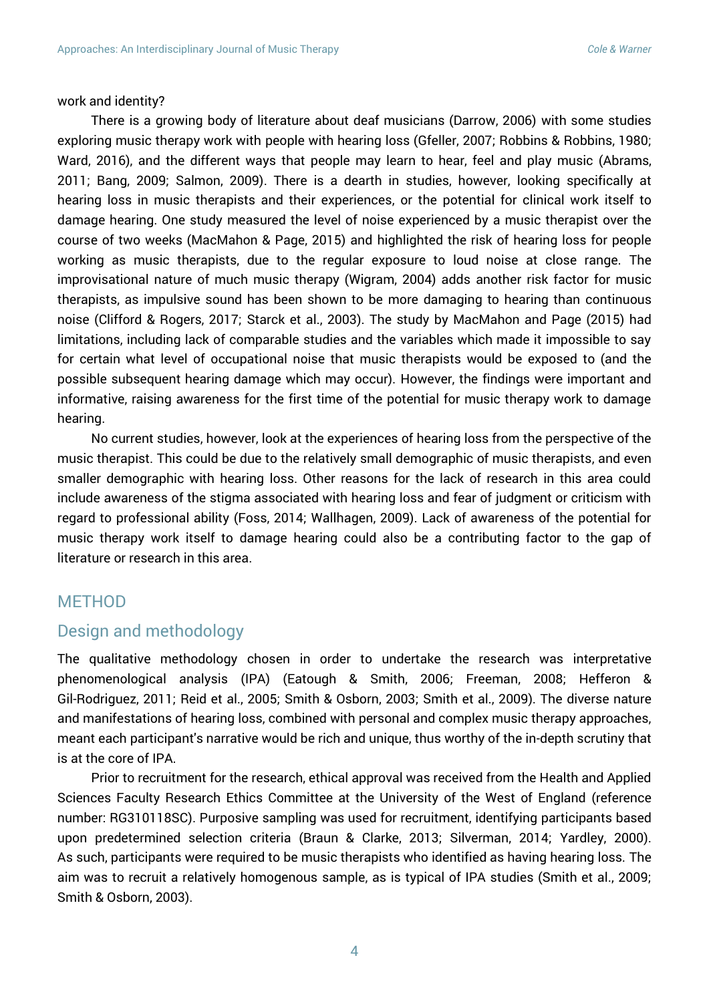#### work and identity?

There is a growing body of literature about deaf musicians (Darrow, 2006) with some studies exploring music therapy work with people with hearing loss (Gfeller, 2007; Robbins & Robbins, 1980; Ward, 2016), and the different ways that people may learn to hear, feel and play music (Abrams, 2011; Bang, 2009; Salmon, 2009). There is a dearth in studies, however, looking specifically at hearing loss in music therapists and their experiences, or the potential for clinical work itself to damage hearing. One study measured the level of noise experienced by a music therapist over the course of two weeks (MacMahon & Page, 2015) and highlighted the risk of hearing loss for people working as music therapists, due to the regular exposure to loud noise at close range. The improvisational nature of much music therapy (Wigram, 2004) adds another risk factor for music therapists, as impulsive sound has been shown to be more damaging to hearing than continuous noise (Clifford & Rogers, 2017; Starck et al., 2003). The study by MacMahon and Page (2015) had limitations, including lack of comparable studies and the variables which made it impossible to say for certain what level of occupational noise that music therapists would be exposed to (and the possible subsequent hearing damage which may occur). However, the findings were important and informative, raising awareness for the first time of the potential for music therapy work to damage hearing.

No current studies, however, look at the experiences of hearing loss from the perspective of the music therapist. This could be due to the relatively small demographic of music therapists, and even smaller demographic with hearing loss. Other reasons for the lack of research in this area could include awareness of the stigma associated with hearing loss and fear of judgment or criticism with regard to professional ability (Foss, 2014; Wallhagen, 2009). Lack of awareness of the potential for music therapy work itself to damage hearing could also be a contributing factor to the gap of literature or research in this area.

### **MFTHOD**

### Design and methodology

The qualitative methodology chosen in order to undertake the research was interpretative phenomenological analysis (IPA) (Eatough & Smith, 2006; Freeman, 2008; Hefferon & Gil-Rodriguez, 2011; Reid et al., 2005; Smith & Osborn, 2003; Smith et al., 2009). The diverse nature and manifestations of hearing loss, combined with personal and complex music therapy approaches, meant each participant's narrative would be rich and unique, thus worthy of the in-depth scrutiny that is at the core of IPA.

Prior to recruitment for the research, ethical approval was received from the Health and Applied Sciences Faculty Research Ethics Committee at the University of the West of England (reference number: RG310118SC). Purposive sampling was used for recruitment, identifying participants based upon predetermined selection criteria (Braun & Clarke, 2013; Silverman, 2014; Yardley, 2000). As such, participants were required to be music therapists who identified as having hearing loss. The aim was to recruit a relatively homogenous sample, as is typical of IPA studies (Smith et al., 2009; Smith & Osborn, 2003).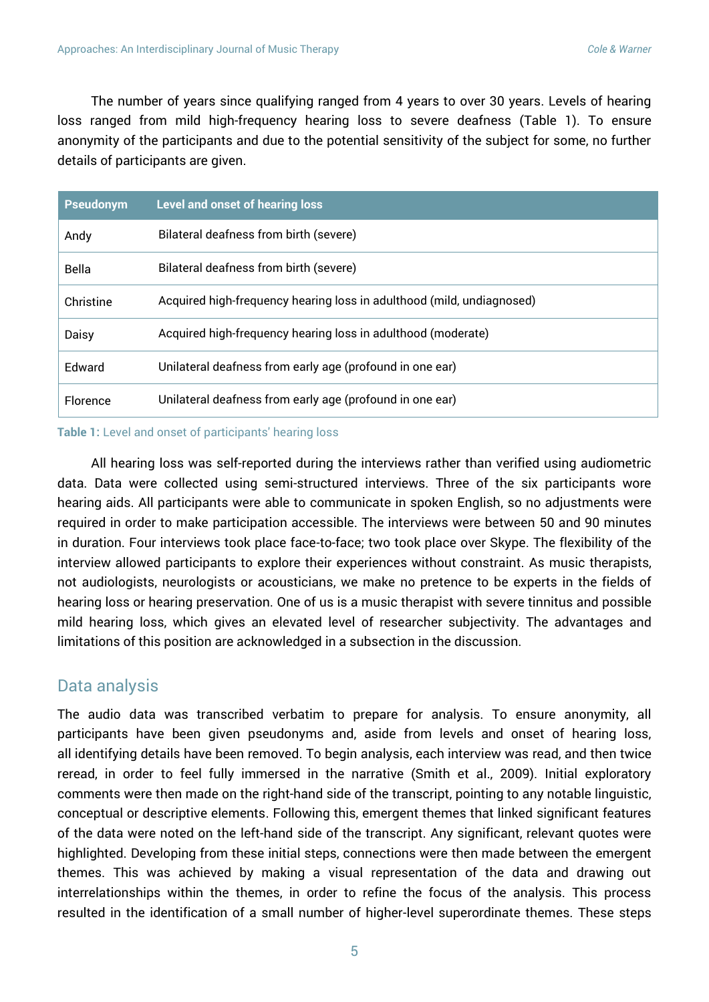The number of years since qualifying ranged from 4 years to over 30 years. Levels of hearing loss ranged from mild high-frequency hearing loss to severe deafness (Table 1). To ensure anonymity of the participants and due to the potential sensitivity of the subject for some, no further details of participants are given.

| <b>Pseudonym</b> | <b>Level and onset of hearing loss</b>                                |
|------------------|-----------------------------------------------------------------------|
| Andy             | Bilateral deafness from birth (severe)                                |
| Bella            | Bilateral deafness from birth (severe)                                |
| Christine        | Acquired high-frequency hearing loss in adulthood (mild, undiagnosed) |
| Daisy            | Acquired high-frequency hearing loss in adulthood (moderate)          |
| Fdward           | Unilateral deafness from early age (profound in one ear)              |
| Florence         | Unilateral deafness from early age (profound in one ear)              |

**Table 1:** Level and onset of participants' hearing loss

All hearing loss was self-reported during the interviews rather than verified using audiometric data. Data were collected using semi-structured interviews. Three of the six participants wore hearing aids. All participants were able to communicate in spoken English, so no adjustments were required in order to make participation accessible. The interviews were between 50 and 90 minutes in duration. Four interviews took place face-to-face; two took place over Skype. The flexibility of the interview allowed participants to explore their experiences without constraint. As music therapists, not audiologists, neurologists or acousticians, we make no pretence to be experts in the fields of hearing loss or hearing preservation. One of us is a music therapist with severe tinnitus and possible mild hearing loss, which gives an elevated level of researcher subjectivity. The advantages and limitations of this position are acknowledged in a subsection in the discussion.

### Data analysis

The audio data was transcribed verbatim to prepare for analysis. To ensure anonymity, all participants have been given pseudonyms and, aside from levels and onset of hearing loss, all identifying details have been removed. To begin analysis, each interview was read, and then twice reread, in order to feel fully immersed in the narrative (Smith et al., 2009). Initial exploratory comments were then made on the right-hand side of the transcript, pointing to any notable linguistic, conceptual or descriptive elements. Following this, emergent themes that linked significant features of the data were noted on the left-hand side of the transcript. Any significant, relevant quotes were highlighted. Developing from these initial steps, connections were then made between the emergent themes. This was achieved by making a visual representation of the data and drawing out interrelationships within the themes, in order to refine the focus of the analysis. This process resulted in the identification of a small number of higher-level superordinate themes. These steps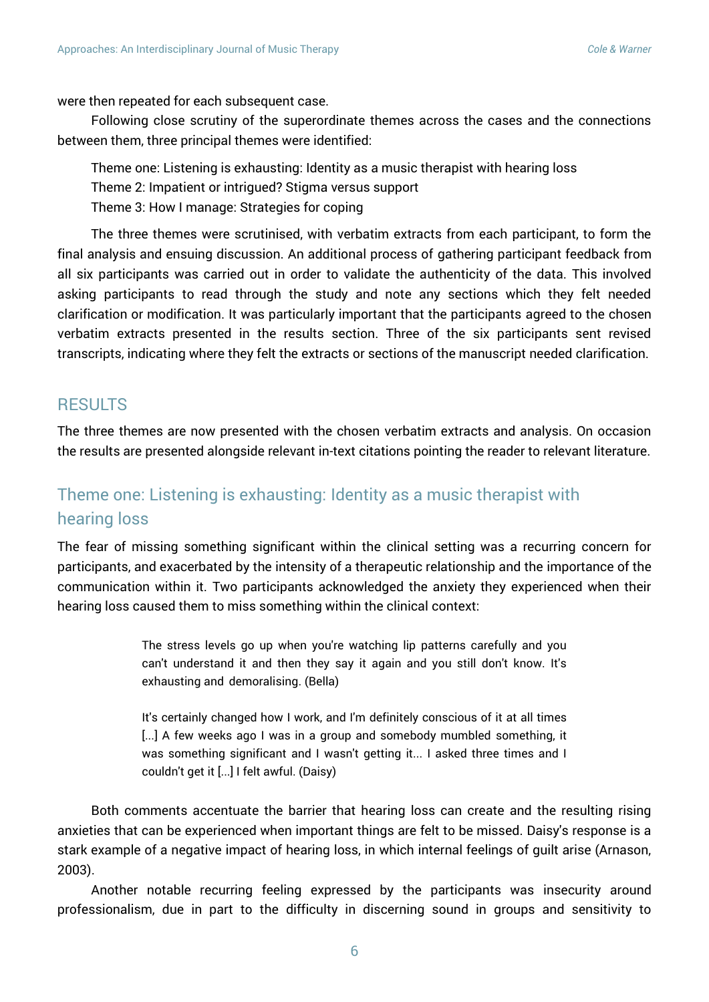were then repeated for each subsequent case.

Following close scrutiny of the superordinate themes across the cases and the connections between them, three principal themes were identified:

Theme one: Listening is exhausting: Identity as a music therapist with hearing loss Theme 2: Impatient or intrigued? Stigma versus support Theme 3: How I manage: Strategies for coping

The three themes were scrutinised, with verbatim extracts from each participant, to form the final analysis and ensuing discussion. An additional process of gathering participant feedback from all six participants was carried out in order to validate the authenticity of the data. This involved asking participants to read through the study and note any sections which they felt needed clarification or modification. It was particularly important that the participants agreed to the chosen verbatim extracts presented in the results section. Three of the six participants sent revised transcripts, indicating where they felt the extracts or sections of the manuscript needed clarification.

### **RESULTS**

The three themes are now presented with the chosen verbatim extracts and analysis. On occasion the results are presented alongside relevant in-text citations pointing the reader to relevant literature.

### Theme one: Listening is exhausting: Identity as a music therapist with hearing loss

The fear of missing something significant within the clinical setting was a recurring concern for participants, and exacerbated by the intensity of a therapeutic relationship and the importance of the communication within it. Two participants acknowledged the anxiety they experienced when their hearing loss caused them to miss something within the clinical context:

> The stress levels go up when you're watching lip patterns carefully and you can't understand it and then they say it again and you still don't know. It's exhausting and demoralising. (Bella)

> It's certainly changed how I work, and I'm definitely conscious of it at all times [...] A few weeks ago I was in a group and somebody mumbled something, it was something significant and I wasn't getting it... I asked three times and I couldn't get it [...] I felt awful. (Daisy)

Both comments accentuate the barrier that hearing loss can create and the resulting rising anxieties that can be experienced when important things are felt to be missed. Daisy's response is a stark example of a negative impact of hearing loss, in which internal feelings of guilt arise (Arnason, 2003).

Another notable recurring feeling expressed by the participants was insecurity around professionalism, due in part to the difficulty in discerning sound in groups and sensitivity to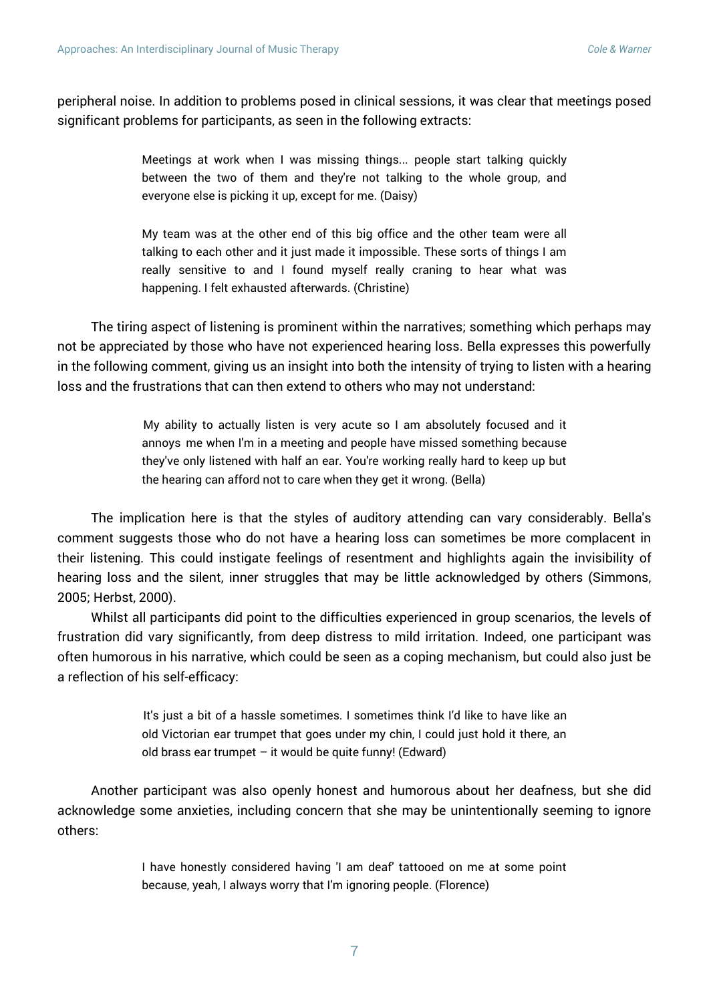peripheral noise. In addition to problems posed in clinical sessions, it was clear that meetings posed significant problems for participants, as seen in the following extracts:

> Meetings at work when I was missing things... people start talking quickly between the two of them and they're not talking to the whole group, and everyone else is picking it up, except for me. (Daisy)

> My team was at the other end of this big office and the other team were all talking to each other and it just made it impossible. These sorts of things I am really sensitive to and I found myself really craning to hear what was happening. I felt exhausted afterwards. (Christine)

The tiring aspect of listening is prominent within the narratives; something which perhaps may not be appreciated by those who have not experienced hearing loss. Bella expresses this powerfully in the following comment, giving us an insight into both the intensity of trying to listen with a hearing loss and the frustrations that can then extend to others who may not understand:

> My ability to actually listen is very acute so I am absolutely focused and it annoys me when I'm in a meeting and people have missed something because they've only listened with half an ear. You're working really hard to keep up but the hearing can afford not to care when they get it wrong. (Bella)

The implication here is that the styles of auditory attending can vary considerably. Bella's comment suggests those who do not have a hearing loss can sometimes be more complacent in their listening. This could instigate feelings of resentment and highlights again the invisibility of hearing loss and the silent, inner struggles that may be little acknowledged by others (Simmons, 2005; Herbst, 2000).

Whilst all participants did point to the difficulties experienced in group scenarios, the levels of frustration did vary significantly, from deep distress to mild irritation. Indeed, one participant was often humorous in his narrative, which could be seen as a coping mechanism, but could also just be a reflection of his self-efficacy:

> It's just a bit of a hassle sometimes. I sometimes think I'd like to have like an old Victorian ear trumpet that goes under my chin, I could just hold it there, an old brass ear trumpet  $-$  it would be quite funny! (Edward)

Another participant was also openly honest and humorous about her deafness, but she did acknowledge some anxieties, including concern that she may be unintentionally seeming to ignore others:

> I have honestly considered having 'I am deaf' tattooed on me at some point because, yeah, I always worry that I'm ignoring people. (Florence)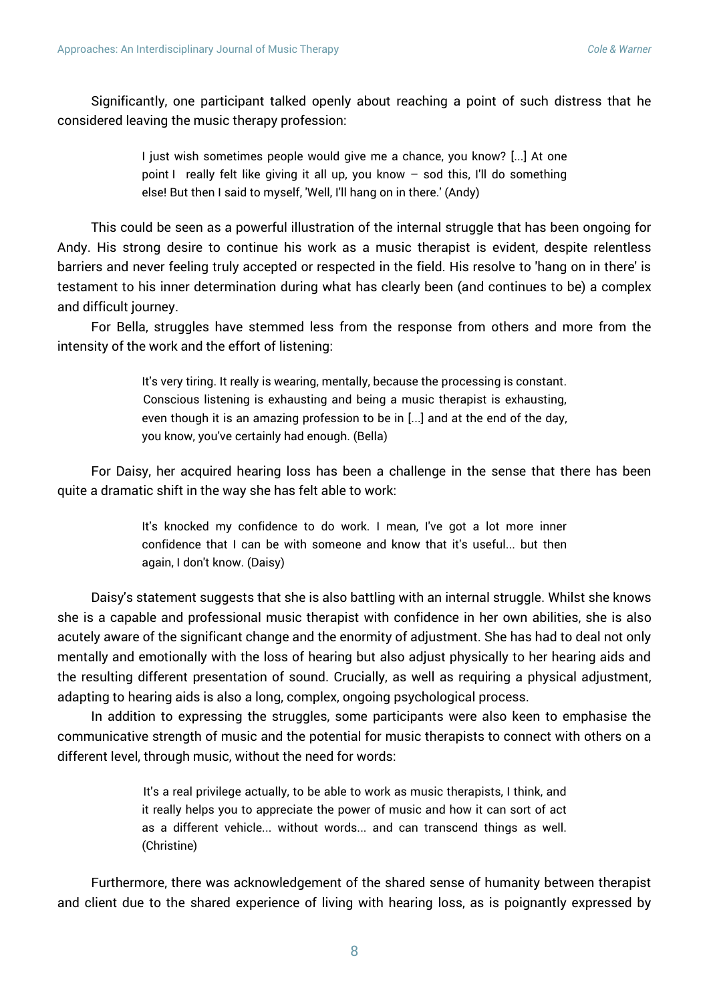Significantly, one participant talked openly about reaching a point of such distress that he considered leaving the music therapy profession:

> I just wish sometimes people would give me a chance, you know? [...] At one point I really felt like giving it all up, you know – sod this, I'll do something else! But then I said to myself, 'Well, I'll hang on in there.' (Andy)

This could be seen as a powerful illustration of the internal struggle that has been ongoing for Andy. His strong desire to continue his work as a music therapist is evident, despite relentless barriers and never feeling truly accepted or respected in the field. His resolve to 'hang on in there' is testament to his inner determination during what has clearly been (and continues to be) a complex and difficult journey.

For Bella, struggles have stemmed less from the response from others and more from the intensity of the work and the effort of listening:

> It's very tiring. It really is wearing, mentally, because the processing is constant. Conscious listening is exhausting and being a music therapist is exhausting, even though it is an amazing profession to be in [...] and at the end of the day, you know, you've certainly had enough. (Bella)

For Daisy, her acquired hearing loss has been a challenge in the sense that there has been quite a dramatic shift in the way she has felt able to work:

> It's knocked my confidence to do work. I mean, I've got a lot more inner confidence that I can be with someone and know that it's useful... but then again, I don't know. (Daisy)

Daisy's statement suggests that she is also battling with an internal struggle. Whilst she knows she is a capable and professional music therapist with confidence in her own abilities, she is also acutely aware of the significant change and the enormity of adjustment. She has had to deal not only mentally and emotionally with the loss of hearing but also adjust physically to her hearing aids and the resulting different presentation of sound. Crucially, as well as requiring a physical adjustment, adapting to hearing aids is also a long, complex, ongoing psychological process.

In addition to expressing the struggles, some participants were also keen to emphasise the communicative strength of music and the potential for music therapists to connect with others on a different level, through music, without the need for words:

> It's a real privilege actually, to be able to work as music therapists, I think, and it really helps you to appreciate the power of music and how it can sort of act as a different vehicle... without words... and can transcend things as well. (Christine)

Furthermore, there was acknowledgement of the shared sense of humanity between therapist and client due to the shared experience of living with hearing loss, as is poignantly expressed by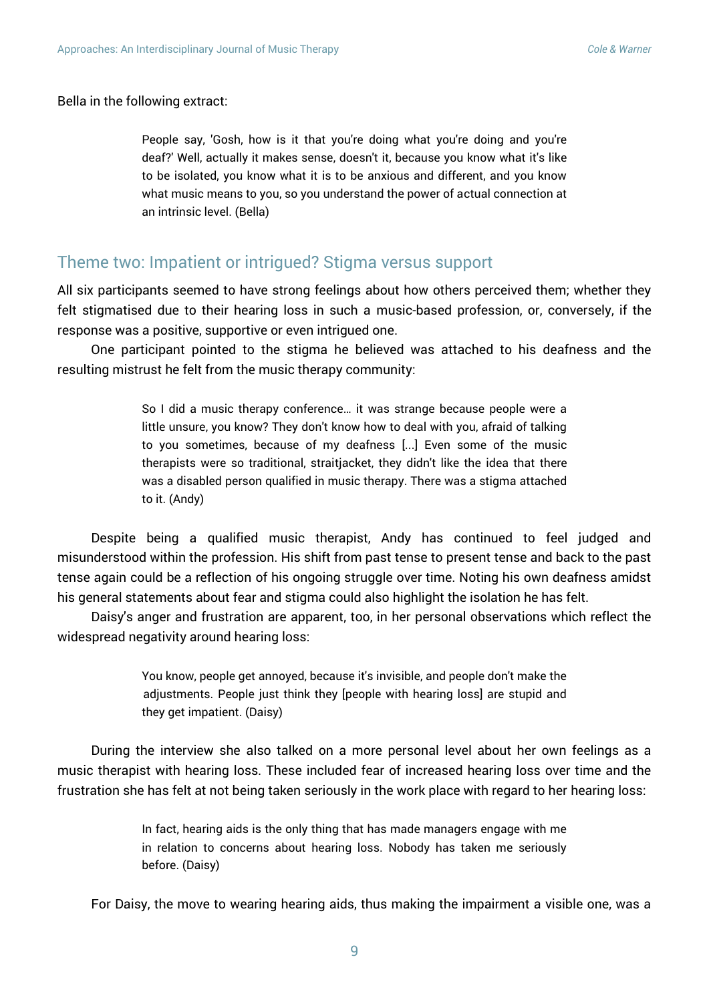Bella in the following extract:

People say, 'Gosh, how is it that you're doing what you're doing and you're deaf?' Well, actually it makes sense, doesn't it, because you know what it's like to be isolated, you know what it is to be anxious and different, and you know what music means to you, so you understand the power of actual connection at an intrinsic level. (Bella)

### Theme two: Impatient or intrigued? Stigma versus support

All six participants seemed to have strong feelings about how others perceived them; whether they felt stigmatised due to their hearing loss in such a music-based profession, or, conversely, if the response was a positive, supportive or even intrigued one.

One participant pointed to the stigma he believed was attached to his deafness and the resulting mistrust he felt from the music therapy community:

> So I did a music therapy conference… it was strange because people were a little unsure, you know? They don't know how to deal with you, afraid of talking to you sometimes, because of my deafness [...] Even some of the music therapists were so traditional, straitjacket, they didn't like the idea that there was a disabled person qualified in music therapy. There was a stigma attached to it. (Andy)

Despite being a qualified music therapist, Andy has continued to feel judged and misunderstood within the profession. His shift from past tense to present tense and back to the past tense again could be a reflection of his ongoing struggle over time. Noting his own deafness amidst his general statements about fear and stigma could also highlight the isolation he has felt.

Daisy's anger and frustration are apparent, too, in her personal observations which reflect the widespread negativity around hearing loss:

> You know, people get annoyed, because it's invisible, and people don't make the adjustments. People just think they [people with hearing loss] are stupid and they get impatient. (Daisy)

During the interview she also talked on a more personal level about her own feelings as a music therapist with hearing loss. These included fear of increased hearing loss over time and the frustration she has felt at not being taken seriously in the work place with regard to her hearing loss:

> In fact, hearing aids is the only thing that has made managers engage with me in relation to concerns about hearing loss. Nobody has taken me seriously before. (Daisy)

For Daisy, the move to wearing hearing aids, thus making the impairment a visible one, was a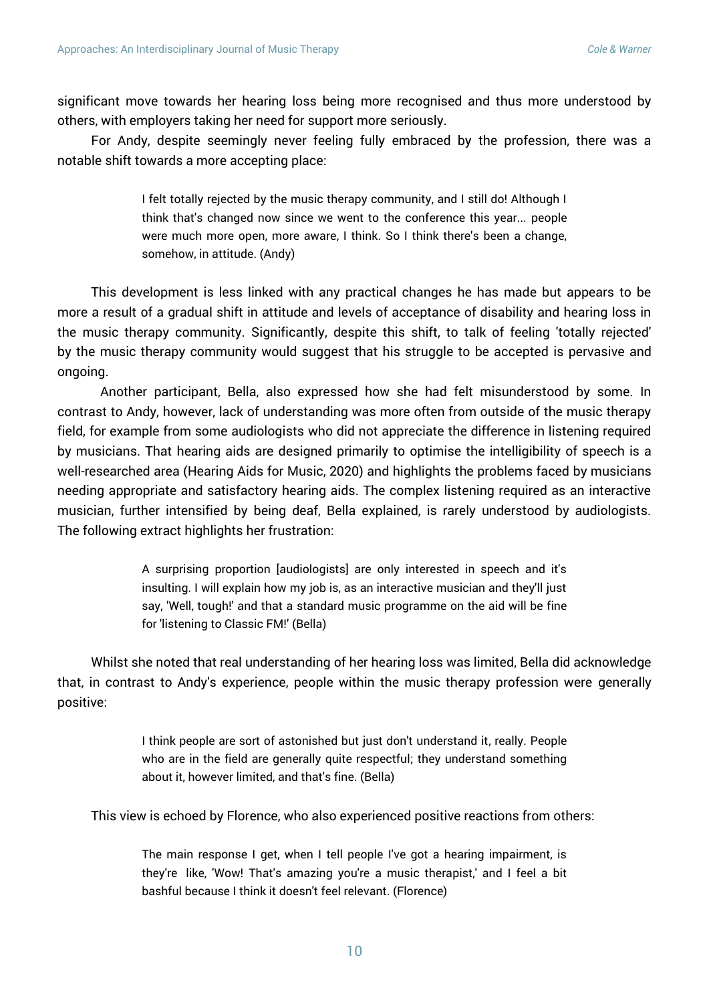significant move towards her hearing loss being more recognised and thus more understood by others, with employers taking her need for support more seriously.

For Andy, despite seemingly never feeling fully embraced by the profession, there was a notable shift towards a more accepting place:

> I felt totally rejected by the music therapy community, and I still do! Although I think that's changed now since we went to the conference this year... people were much more open, more aware, I think. So I think there's been a change, somehow, in attitude. (Andy)

This development is less linked with any practical changes he has made but appears to be more a result of a gradual shift in attitude and levels of acceptance of disability and hearing loss in the music therapy community. Significantly, despite this shift, to talk of feeling 'totally rejected' by the music therapy community would suggest that his struggle to be accepted is pervasive and ongoing.

Another participant, Bella, also expressed how she had felt misunderstood by some. In contrast to Andy, however, lack of understanding was more often from outside of the music therapy field, for example from some audiologists who did not appreciate the difference in listening required by musicians. That hearing aids are designed primarily to optimise the intelligibility of speech is a well-researched area (Hearing Aids for Music, 2020) and highlights the problems faced by musicians needing appropriate and satisfactory hearing aids. The complex listening required as an interactive musician, further intensified by being deaf, Bella explained, is rarely understood by audiologists. The following extract highlights her frustration:

> A surprising proportion [audiologists] are only interested in speech and it's insulting. I will explain how my job is, as an interactive musician and they'll just say, 'Well, tough!' and that a standard music programme on the aid will be fine for 'listening to Classic FM!' (Bella)

Whilst she noted that real understanding of her hearing loss was limited, Bella did acknowledge that, in contrast to Andy's experience, people within the music therapy profession were generally positive:

> I think people are sort of astonished but just don't understand it, really. People who are in the field are generally quite respectful; they understand something about it, however limited, and that's fine. (Bella)

This view is echoed by Florence, who also experienced positive reactions from others:

The main response I get, when I tell people I've got a hearing impairment, is they're like, 'Wow! That's amazing you're a music therapist,' and I feel a bit bashful because I think it doesn't feel relevant. (Florence)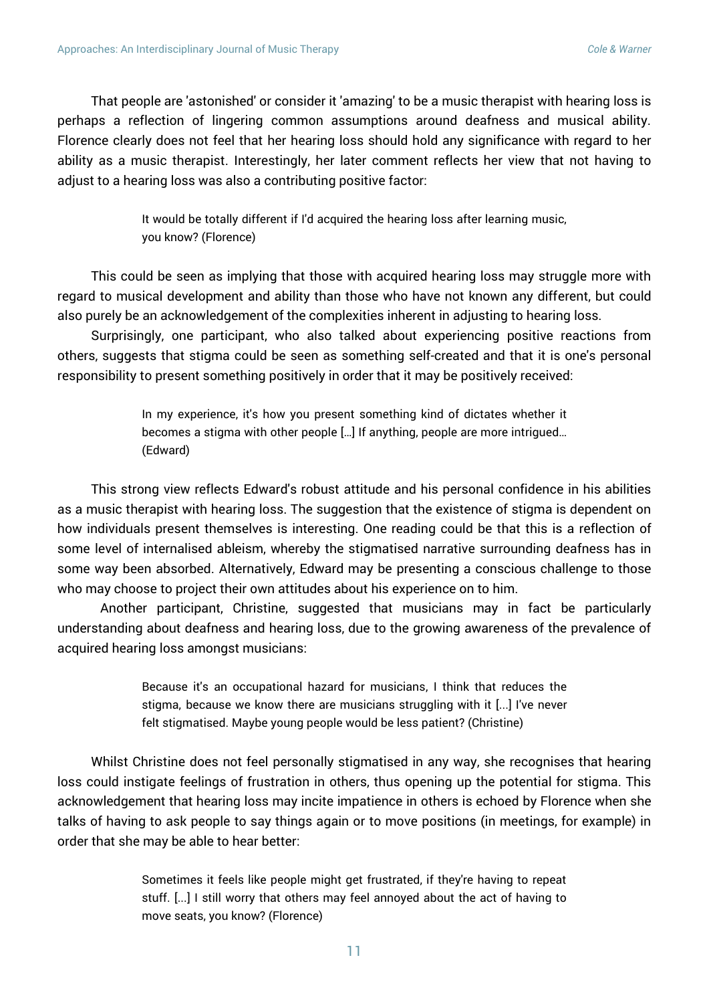That people are 'astonished' or consider it 'amazing' to be a music therapist with hearing loss is perhaps a reflection of lingering common assumptions around deafness and musical ability. Florence clearly does not feel that her hearing loss should hold any significance with regard to her ability as a music therapist. Interestingly, her later comment reflects her view that not having to adjust to a hearing loss was also a contributing positive factor:

> It would be totally different if I'd acquired the hearing loss after learning music, you know? (Florence)

This could be seen as implying that those with acquired hearing loss may struggle more with regard to musical development and ability than those who have not known any different, but could also purely be an acknowledgement of the complexities inherent in adjusting to hearing loss.

Surprisingly, one participant, who also talked about experiencing positive reactions from others, suggests that stigma could be seen as something self-created and that it is one's personal responsibility to present something positively in order that it may be positively received:

> In my experience, it's how you present something kind of dictates whether it becomes a stigma with other people […] If anything, people are more intrigued… (Edward)

This strong view reflects Edward's robust attitude and his personal confidence in his abilities as a music therapist with hearing loss. The suggestion that the existence of stigma is dependent on how individuals present themselves is interesting. One reading could be that this is a reflection of some level of internalised ableism, whereby the stigmatised narrative surrounding deafness has in some way been absorbed. Alternatively, Edward may be presenting a conscious challenge to those who may choose to project their own attitudes about his experience on to him.

Another participant, Christine, suggested that musicians may in fact be particularly understanding about deafness and hearing loss, due to the growing awareness of the prevalence of acquired hearing loss amongst musicians:

> Because it's an occupational hazard for musicians, I think that reduces the stigma, because we know there are musicians struggling with it [...] I've never felt stigmatised. Maybe young people would be less patient? (Christine)

Whilst Christine does not feel personally stigmatised in any way, she recognises that hearing loss could instigate feelings of frustration in others, thus opening up the potential for stigma. This acknowledgement that hearing loss may incite impatience in others is echoed by Florence when she talks of having to ask people to say things again or to move positions (in meetings, for example) in order that she may be able to hear better:

> Sometimes it feels like people might get frustrated, if they're having to repeat stuff. [...] I still worry that others may feel annoyed about the act of having to move seats, you know? (Florence)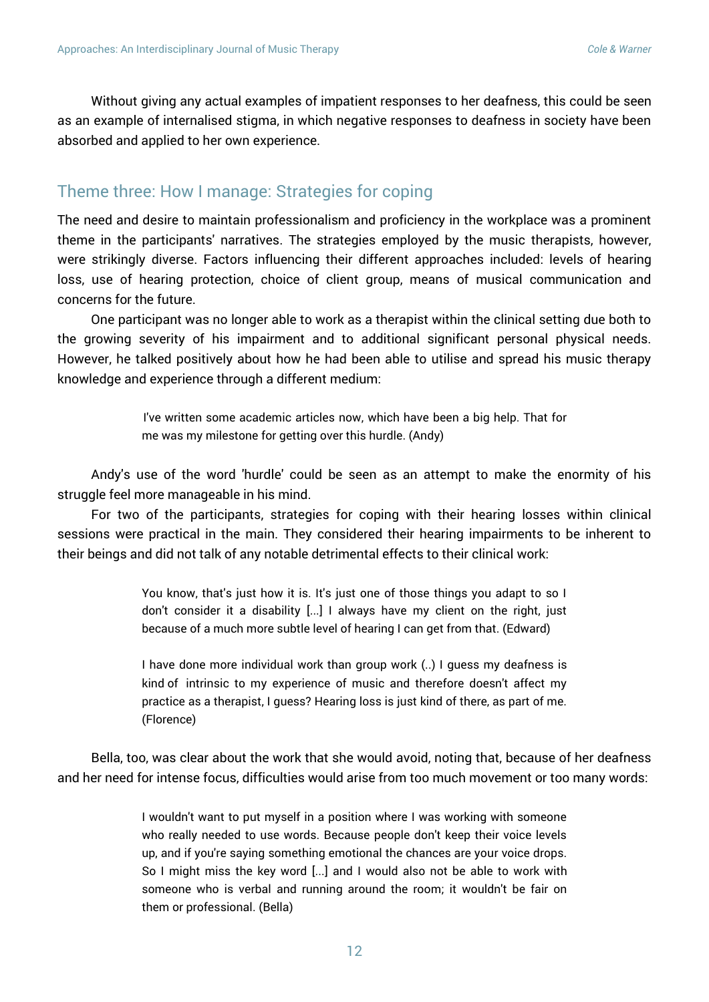Without giving any actual examples of impatient responses to her deafness, this could be seen as an example of internalised stigma, in which negative responses to deafness in society have been absorbed and applied to her own experience.

### Theme three: How I manage: Strategies for coping

The need and desire to maintain professionalism and proficiency in the workplace was a prominent theme in the participants' narratives. The strategies employed by the music therapists, however, were strikingly diverse. Factors influencing their different approaches included: levels of hearing loss, use of hearing protection, choice of client group, means of musical communication and concerns for the future.

One participant was no longer able to work as a therapist within the clinical setting due both to the growing severity of his impairment and to additional significant personal physical needs. However, he talked positively about how he had been able to utilise and spread his music therapy knowledge and experience through a different medium:

> I've written some academic articles now, which have been a big help. That for me was my milestone for getting over this hurdle. (Andy)

Andy's use of the word 'hurdle' could be seen as an attempt to make the enormity of his struggle feel more manageable in his mind.

For two of the participants, strategies for coping with their hearing losses within clinical sessions were practical in the main. They considered their hearing impairments to be inherent to their beings and did not talk of any notable detrimental effects to their clinical work:

> You know, that's just how it is. It's just one of those things you adapt to so I don't consider it a disability [...] I always have my client on the right, just because of a much more subtle level of hearing I can get from that. (Edward)

> I have done more individual work than group work (..) I guess my deafness is kind of intrinsic to my experience of music and therefore doesn't affect my practice as a therapist, I guess? Hearing loss is just kind of there, as part of me. (Florence)

Bella, too, was clear about the work that she would avoid, noting that, because of her deafness and her need for intense focus, difficulties would arise from too much movement or too many words:

> I wouldn't want to put myself in a position where I was working with someone who really needed to use words. Because people don't keep their voice levels up, and if you're saying something emotional the chances are your voice drops. So I might miss the key word [...] and I would also not be able to work with someone who is verbal and running around the room; it wouldn't be fair on them or professional. (Bella)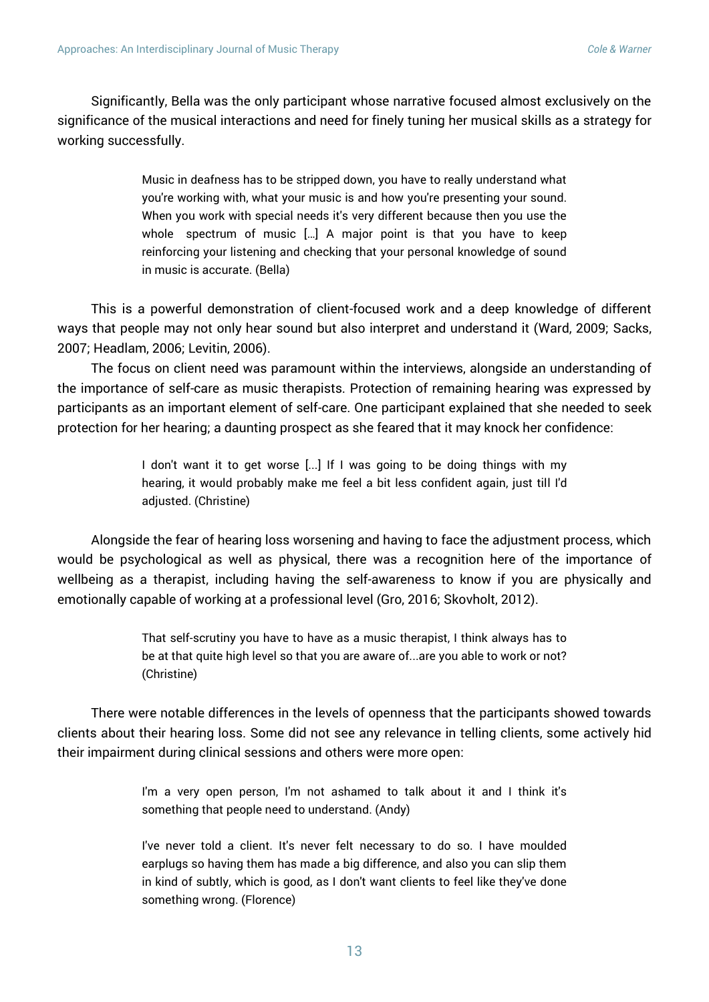Significantly, Bella was the only participant whose narrative focused almost exclusively on the significance of the musical interactions and need for finely tuning her musical skills as a strategy for working successfully.

> Music in deafness has to be stripped down, you have to really understand what you're working with, what your music is and how you're presenting your sound. When you work with special needs it's very different because then you use the whole spectrum of music […] A major point is that you have to keep reinforcing your listening and checking that your personal knowledge of sound in music is accurate. (Bella)

This is a powerful demonstration of client-focused work and a deep knowledge of different ways that people may not only hear sound but also interpret and understand it (Ward, 2009; Sacks, 2007; Headlam, 2006; Levitin, 2006).

The focus on client need was paramount within the interviews, alongside an understanding of the importance of self-care as music therapists. Protection of remaining hearing was expressed by participants as an important element of self-care. One participant explained that she needed to seek protection for her hearing; a daunting prospect as she feared that it may knock her confidence:

> I don't want it to get worse [...] If I was going to be doing things with my hearing, it would probably make me feel a bit less confident again, just till I'd adjusted. (Christine)

Alongside the fear of hearing loss worsening and having to face the adjustment process, which would be psychological as well as physical, there was a recognition here of the importance of wellbeing as a therapist, including having the self-awareness to know if you are physically and emotionally capable of working at a professional level (Gro, 2016; Skovholt, 2012).

> That self-scrutiny you have to have as a music therapist, I think always has to be at that quite high level so that you are aware of...are you able to work or not? (Christine)

There were notable differences in the levels of openness that the participants showed towards clients about their hearing loss. Some did not see any relevance in telling clients, some actively hid their impairment during clinical sessions and others were more open:

> I'm a very open person, I'm not ashamed to talk about it and I think it's something that people need to understand. (Andy)

> I've never told a client. It's never felt necessary to do so. I have moulded earplugs so having them has made a big difference, and also you can slip them in kind of subtly, which is good, as I don't want clients to feel like they've done something wrong. (Florence)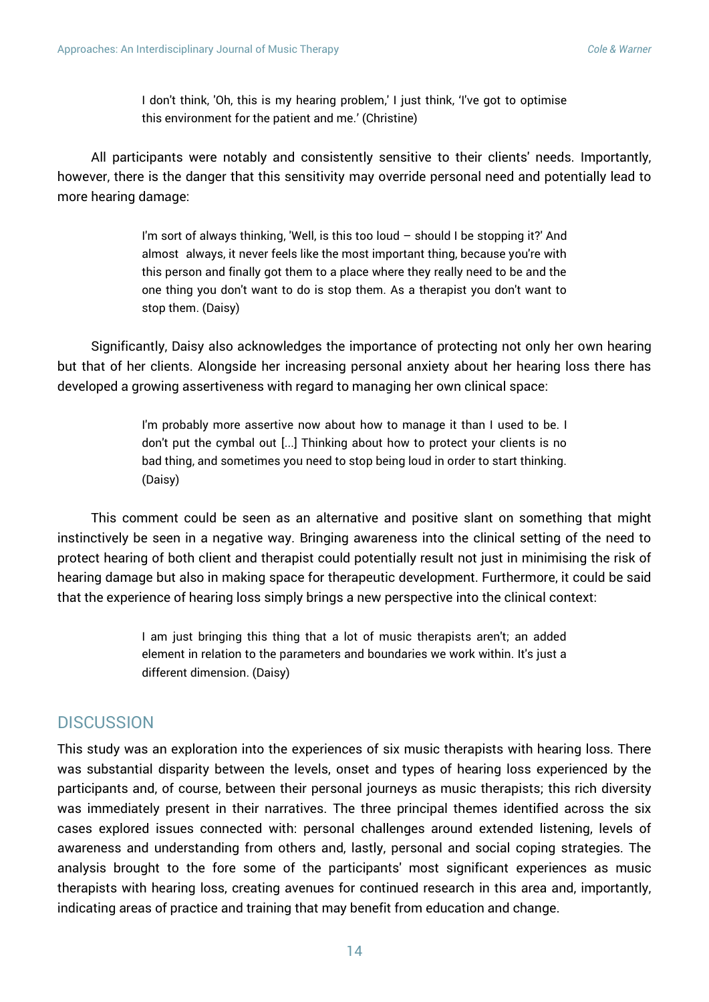I don't think, 'Oh, this is my hearing problem,' I just think, 'I've got to optimise this environment for the patient and me.' (Christine)

All participants were notably and consistently sensitive to their clients' needs. Importantly, however, there is the danger that this sensitivity may override personal need and potentially lead to more hearing damage:

> I'm sort of always thinking, 'Well, is this too loud – should I be stopping it?' And almost always, it never feels like the most important thing, because you're with this person and finally got them to a place where they really need to be and the one thing you don't want to do is stop them. As a therapist you don't want to stop them. (Daisy)

Significantly, Daisy also acknowledges the importance of protecting not only her own hearing but that of her clients. Alongside her increasing personal anxiety about her hearing loss there has developed a growing assertiveness with regard to managing her own clinical space:

> I'm probably more assertive now about how to manage it than I used to be. I don't put the cymbal out [...] Thinking about how to protect your clients is no bad thing, and sometimes you need to stop being loud in order to start thinking. (Daisy)

This comment could be seen as an alternative and positive slant on something that might instinctively be seen in a negative way. Bringing awareness into the clinical setting of the need to protect hearing of both client and therapist could potentially result not just in minimising the risk of hearing damage but also in making space for therapeutic development. Furthermore, it could be said that the experience of hearing loss simply brings a new perspective into the clinical context:

> I am just bringing this thing that a lot of music therapists aren't; an added element in relation to the parameters and boundaries we work within. It's just a different dimension. (Daisy)

### **DISCUSSION**

This study was an exploration into the experiences of six music therapists with hearing loss. There was substantial disparity between the levels, onset and types of hearing loss experienced by the participants and, of course, between their personal journeys as music therapists; this rich diversity was immediately present in their narratives. The three principal themes identified across the six cases explored issues connected with: personal challenges around extended listening, levels of awareness and understanding from others and, lastly, personal and social coping strategies. The analysis brought to the fore some of the participants' most significant experiences as music therapists with hearing loss, creating avenues for continued research in this area and, importantly, indicating areas of practice and training that may benefit from education and change.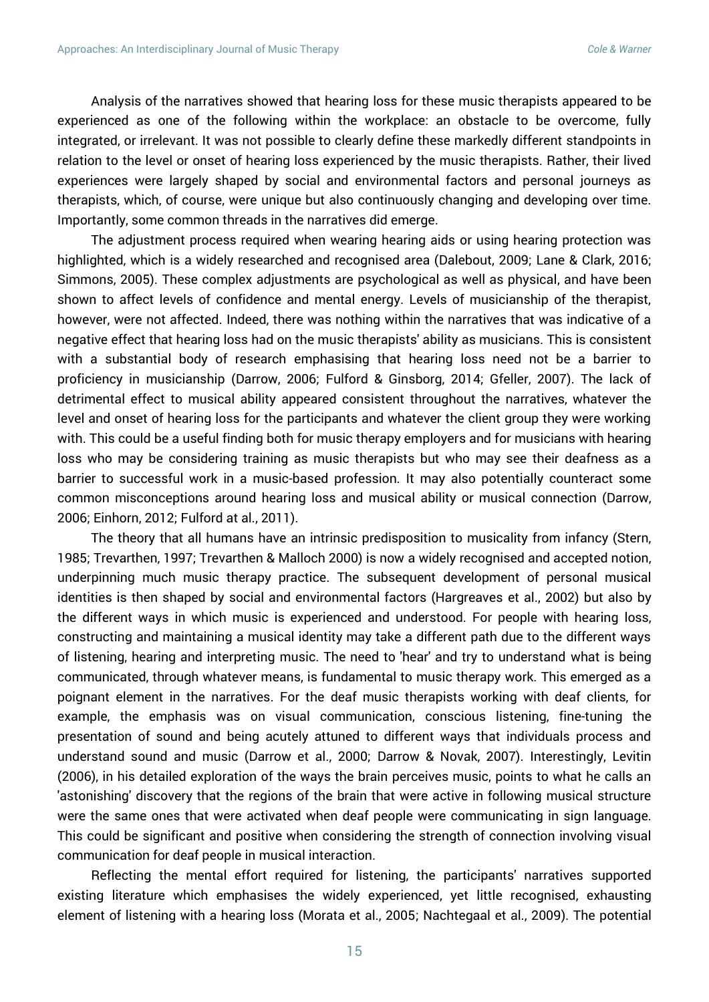Analysis of the narratives showed that hearing loss for these music therapists appeared to be experienced as one of the following within the workplace: an obstacle to be overcome, fully integrated, or irrelevant. It was not possible to clearly define these markedly different standpoints in relation to the level or onset of hearing loss experienced by the music therapists. Rather, their lived experiences were largely shaped by social and environmental factors and personal journeys as therapists, which, of course, were unique but also continuously changing and developing over time. Importantly, some common threads in the narratives did emerge.

The adjustment process required when wearing hearing aids or using hearing protection was highlighted, which is a widely researched and recognised area (Dalebout, 2009; Lane & Clark, 2016; Simmons, 2005). These complex adjustments are psychological as well as physical, and have been shown to affect levels of confidence and mental energy. Levels of musicianship of the therapist, however, were not affected. Indeed, there was nothing within the narratives that was indicative of a negative effect that hearing loss had on the music therapists' ability as musicians. This is consistent with a substantial body of research emphasising that hearing loss need not be a barrier to proficiency in musicianship (Darrow, 2006; Fulford & Ginsborg, 2014; Gfeller, 2007). The lack of detrimental effect to musical ability appeared consistent throughout the narratives, whatever the level and onset of hearing loss for the participants and whatever the client group they were working with. This could be a useful finding both for music therapy employers and for musicians with hearing loss who may be considering training as music therapists but who may see their deafness as a barrier to successful work in a music-based profession. It may also potentially counteract some common misconceptions around hearing loss and musical ability or musical connection (Darrow, 2006; Einhorn, 2012; Fulford at al., 2011).

The theory that all humans have an intrinsic predisposition to musicality from infancy (Stern, 1985; Trevarthen, 1997; Trevarthen & Malloch 2000) is now a widely recognised and accepted notion, underpinning much music therapy practice. The subsequent development of personal musical identities is then shaped by social and environmental factors (Hargreaves et al., 2002) but also by the different ways in which music is experienced and understood. For people with hearing loss, constructing and maintaining a musical identity may take a different path due to the different ways of listening, hearing and interpreting music. The need to 'hear' and try to understand what is being communicated, through whatever means, is fundamental to music therapy work. This emerged as a poignant element in the narratives. For the deaf music therapists working with deaf clients, for example, the emphasis was on visual communication, conscious listening, fine-tuning the presentation of sound and being acutely attuned to different ways that individuals process and understand sound and music (Darrow et al., 2000; Darrow & Novak, 2007). Interestingly, Levitin (2006), in his detailed exploration of the ways the brain perceives music, points to what he calls an 'astonishing' discovery that the regions of the brain that were active in following musical structure were the same ones that were activated when deaf people were communicating in sign language. This could be significant and positive when considering the strength of connection involving visual communication for deaf people in musical interaction.

Reflecting the mental effort required for listening, the participants' narratives supported existing literature which emphasises the widely experienced, yet little recognised, exhausting element of listening with a hearing loss (Morata et al., 2005; Nachtegaal et al., 2009). The potential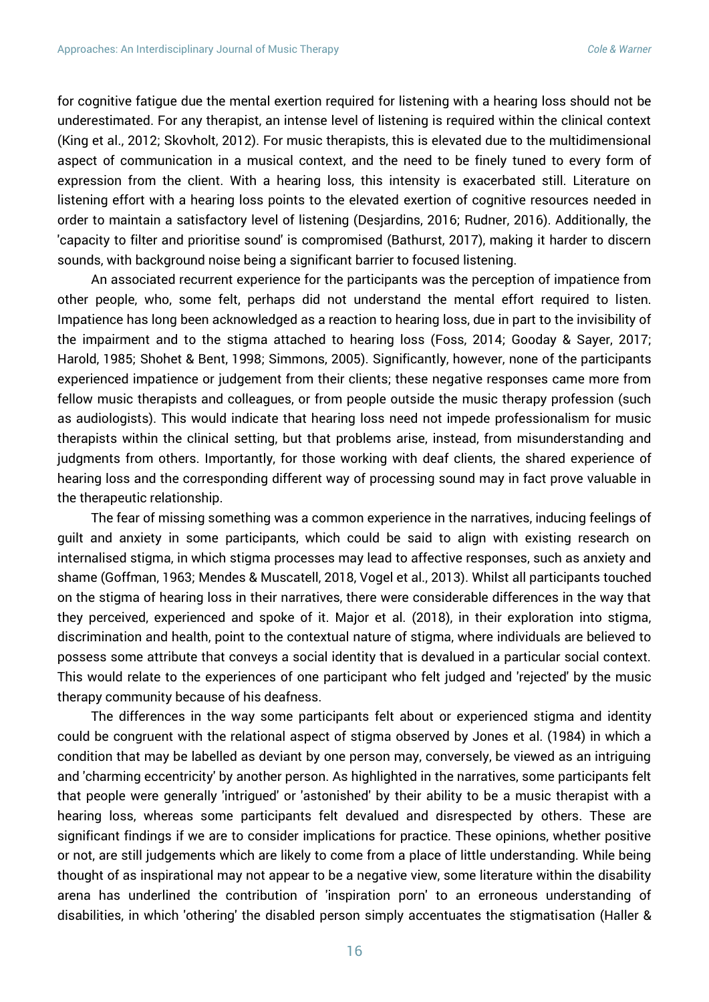for cognitive fatigue due the mental exertion required for listening with a hearing loss should not be underestimated. For any therapist, an intense level of listening is required within the clinical context (King et al., 2012; Skovholt, 2012). For music therapists, this is elevated due to the multidimensional aspect of communication in a musical context, and the need to be finely tuned to every form of expression from the client. With a hearing loss, this intensity is exacerbated still. Literature on listening effort with a hearing loss points to the elevated exertion of cognitive resources needed in order to maintain a satisfactory level of listening (Desjardins, 2016; Rudner, 2016). Additionally, the 'capacity to filter and prioritise sound' is compromised (Bathurst, 2017), making it harder to discern sounds, with background noise being a significant barrier to focused listening.

An associated recurrent experience for the participants was the perception of impatience from other people, who, some felt, perhaps did not understand the mental effort required to listen. Impatience has long been acknowledged as a reaction to hearing loss, due in part to the invisibility of the impairment and to the stigma attached to hearing loss (Foss, 2014; Gooday & Sayer, 2017; Harold, 1985; Shohet & Bent, 1998; Simmons, 2005). Significantly, however, none of the participants experienced impatience or judgement from their clients; these negative responses came more from fellow music therapists and colleagues, or from people outside the music therapy profession (such as audiologists). This would indicate that hearing loss need not impede professionalism for music therapists within the clinical setting, but that problems arise, instead, from misunderstanding and judgments from others. Importantly, for those working with deaf clients, the shared experience of hearing loss and the corresponding different way of processing sound may in fact prove valuable in the therapeutic relationship.

The fear of missing something was a common experience in the narratives, inducing feelings of guilt and anxiety in some participants, which could be said to align with existing research on internalised stigma, in which stigma processes may lead to affective responses, such as anxiety and shame (Goffman, 1963; Mendes & Muscatell, 2018, Vogel et al., 2013). Whilst all participants touched on the stigma of hearing loss in their narratives, there were considerable differences in the way that they perceived, experienced and spoke of it. Major et al. (2018), in their exploration into stigma, discrimination and health, point to the contextual nature of stigma, where individuals are believed to possess some attribute that conveys a social identity that is devalued in a particular social context. This would relate to the experiences of one participant who felt judged and 'rejected' by the music therapy community because of his deafness.

The differences in the way some participants felt about or experienced stigma and identity could be congruent with the relational aspect of stigma observed by Jones et al. (1984) in which a condition that may be labelled as deviant by one person may, conversely, be viewed as an intriguing and 'charming eccentricity' by another person. As highlighted in the narratives, some participants felt that people were generally 'intrigued' or 'astonished' by their ability to be a music therapist with a hearing loss, whereas some participants felt devalued and disrespected by others. These are significant findings if we are to consider implications for practice. These opinions, whether positive or not, are still judgements which are likely to come from a place of little understanding. While being thought of as inspirational may not appear to be a negative view, some literature within the disability arena has underlined the contribution of 'inspiration porn' to an erroneous understanding of disabilities, in which 'othering' the disabled person simply accentuates the stigmatisation (Haller &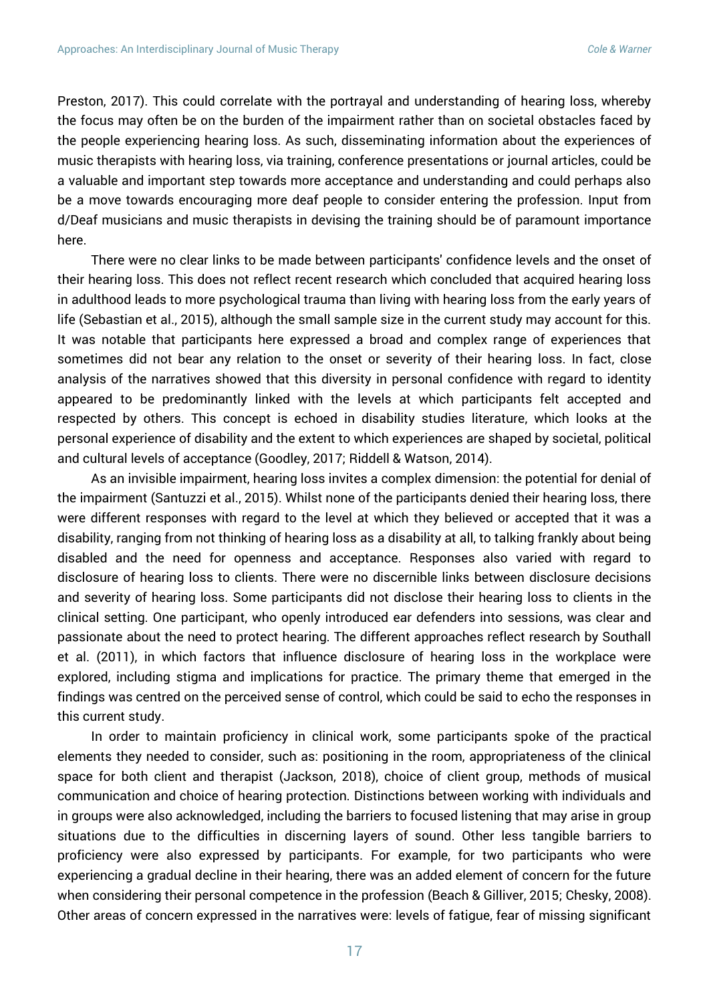Preston, 2017). This could correlate with the portrayal and understanding of hearing loss, whereby the focus may often be on the burden of the impairment rather than on societal obstacles faced by the people experiencing hearing loss. As such, disseminating information about the experiences of music therapists with hearing loss, via training, conference presentations or journal articles, could be a valuable and important step towards more acceptance and understanding and could perhaps also be a move towards encouraging more deaf people to consider entering the profession. Input from d/Deaf musicians and music therapists in devising the training should be of paramount importance here.

There were no clear links to be made between participants' confidence levels and the onset of their hearing loss. This does not reflect recent research which concluded that acquired hearing loss in adulthood leads to more psychological trauma than living with hearing loss from the early years of life (Sebastian et al., 2015), although the small sample size in the current study may account for this. It was notable that participants here expressed a broad and complex range of experiences that sometimes did not bear any relation to the onset or severity of their hearing loss. In fact, close analysis of the narratives showed that this diversity in personal confidence with regard to identity appeared to be predominantly linked with the levels at which participants felt accepted and respected by others. This concept is echoed in disability studies literature, which looks at the personal experience of disability and the extent to which experiences are shaped by societal, political and cultural levels of acceptance (Goodley, 2017; Riddell & Watson, 2014).

As an invisible impairment, hearing loss invites a complex dimension: the potential for denial of the impairment (Santuzzi et al., 2015). Whilst none of the participants denied their hearing loss, there were different responses with regard to the level at which they believed or accepted that it was a disability, ranging from not thinking of hearing loss as a disability at all, to talking frankly about being disabled and the need for openness and acceptance. Responses also varied with regard to disclosure of hearing loss to clients. There were no discernible links between disclosure decisions and severity of hearing loss. Some participants did not disclose their hearing loss to clients in the clinical setting. One participant, who openly introduced ear defenders into sessions, was clear and passionate about the need to protect hearing. The different approaches reflect research by Southall et al. (2011), in which factors that influence disclosure of hearing loss in the workplace were explored, including stigma and implications for practice. The primary theme that emerged in the findings was centred on the perceived sense of control, which could be said to echo the responses in this current study.

In order to maintain proficiency in clinical work, some participants spoke of the practical elements they needed to consider, such as: positioning in the room, appropriateness of the clinical space for both client and therapist (Jackson, 2018), choice of client group, methods of musical communication and choice of hearing protection. Distinctions between working with individuals and in groups were also acknowledged, including the barriers to focused listening that may arise in group situations due to the difficulties in discerning layers of sound. Other less tangible barriers to proficiency were also expressed by participants. For example, for two participants who were experiencing a gradual decline in their hearing, there was an added element of concern for the future when considering their personal competence in the profession (Beach & Gilliver, 2015; Chesky, 2008). Other areas of concern expressed in the narratives were: levels of fatigue, fear of missing significant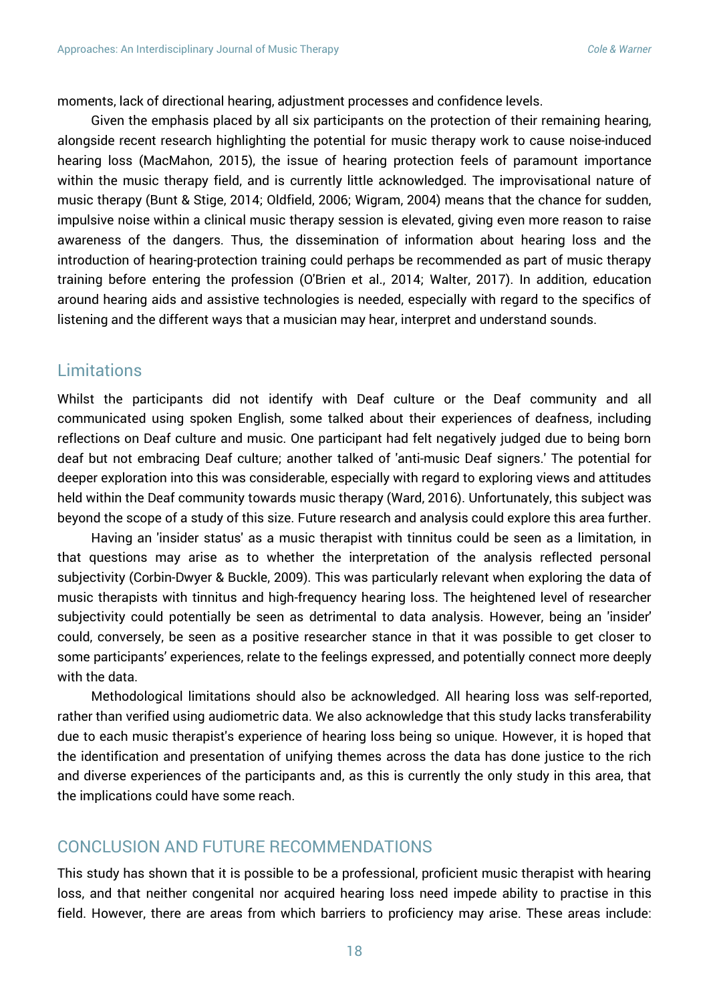moments, lack of directional hearing, adjustment processes and confidence levels.

Given the emphasis placed by all six participants on the protection of their remaining hearing, alongside recent research highlighting the potential for music therapy work to cause noise-induced hearing loss (MacMahon, 2015), the issue of hearing protection feels of paramount importance within the music therapy field, and is currently little acknowledged. The improvisational nature of music therapy (Bunt & Stige, 2014; Oldfield, 2006; Wigram, 2004) means that the chance for sudden, impulsive noise within a clinical music therapy session is elevated, giving even more reason to raise awareness of the dangers. Thus, the dissemination of information about hearing loss and the introduction of hearing-protection training could perhaps be recommended as part of music therapy training before entering the profession (O'Brien et al., 2014; Walter, 2017). In addition, education around hearing aids and assistive technologies is needed, especially with regard to the specifics of listening and the different ways that a musician may hear, interpret and understand sounds.

#### **Limitations**

Whilst the participants did not identify with Deaf culture or the Deaf community and all communicated using spoken English, some talked about their experiences of deafness, including reflections on Deaf culture and music. One participant had felt negatively judged due to being born deaf but not embracing Deaf culture; another talked of 'anti-music Deaf signers.' The potential for deeper exploration into this was considerable, especially with regard to exploring views and attitudes held within the Deaf community towards music therapy (Ward, 2016). Unfortunately, this subject was beyond the scope of a study of this size. Future research and analysis could explore this area further.

Having an 'insider status' as a music therapist with tinnitus could be seen as a limitation, in that questions may arise as to whether the interpretation of the analysis reflected personal subjectivity (Corbin-Dwyer & Buckle, 2009). This was particularly relevant when exploring the data of music therapists with tinnitus and high-frequency hearing loss. The heightened level of researcher subjectivity could potentially be seen as detrimental to data analysis. However, being an 'insider' could, conversely, be seen as a positive researcher stance in that it was possible to get closer to some participants' experiences, relate to the feelings expressed, and potentially connect more deeply with the data.

Methodological limitations should also be acknowledged. All hearing loss was self-reported, rather than verified using audiometric data. We also acknowledge that this study lacks transferability due to each music therapist's experience of hearing loss being so unique. However, it is hoped that the identification and presentation of unifying themes across the data has done justice to the rich and diverse experiences of the participants and, as this is currently the only study in this area, that the implications could have some reach.

### CONCLUSION AND FUTURE RECOMMENDATIONS

This study has shown that it is possible to be a professional, proficient music therapist with hearing loss, and that neither congenital nor acquired hearing loss need impede ability to practise in this field. However, there are areas from which barriers to proficiency may arise. These areas include: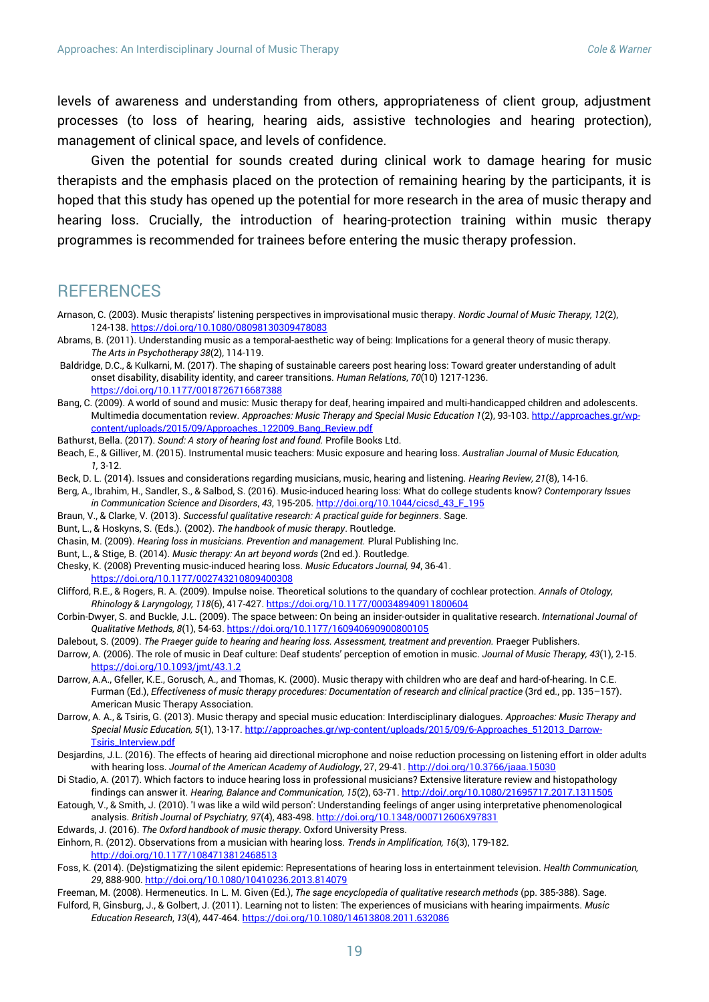levels of awareness and understanding from others, appropriateness of client group, adjustment processes (to loss of hearing, hearing aids, assistive technologies and hearing protection), management of clinical space, and levels of confidence.

Given the potential for sounds created during clinical work to damage hearing for music therapists and the emphasis placed on the protection of remaining hearing by the participants, it is hoped that this study has opened up the potential for more research in the area of music therapy and hearing loss. Crucially, the introduction of hearing-protection training within music therapy programmes is recommended for trainees before entering the music therapy profession.

#### **REFERENCES**

- Arnason, C. (2003). Music therapists' listening perspectives in improvisational music therapy. *Nordic Journal of Music Therapy, 12*(2), 124-138. <https://doi.org/10.1080/08098130309478083>
- Abrams, B. (2011). Understanding music as a temporal-aesthetic way of being: Implications for a general theory of music therapy. *The Arts in Psychotherapy 38*(2), 114-119.
- Baldridge, D.C., & Kulkarni, M. (2017). The shaping of sustainable careers post hearing loss: Toward greater understanding of adult onset disability, disability identity, and career transitions*. Human Relations*, *70*(10) 1217-1236. <https://doi.org/10.1177/0018726716687388>
- Bang, C. (2009). A world of sound and music: Music therapy for deaf, hearing impaired and multi-handicapped children and adolescents. Multimedia documentation review. *Approaches: Music Therapy and Special Music Education 1*(2), 93-103. [http://approaches.gr/wp](http://approaches.gr/wp-content/uploads/2015/09/Approaches_122009_Bang_Review.pdf)[content/uploads/2015/09/Approaches\\_122009\\_Bang\\_Review.pdf](http://approaches.gr/wp-content/uploads/2015/09/Approaches_122009_Bang_Review.pdf)
- Bathurst, Bella. (2017). *Sound: A story of hearing lost and found.* Profile Books Ltd.
- Beach, E., & Gilliver, M. (2015). Instrumental music teachers: Music exposure and hearing loss. *Australian Journal of Music Education, 1,* 3-12.
- Beck, D. L. (2014). Issues and considerations regarding musicians, music, hearing and listening. *Hearing Review, 21*(8), 14-16.
- Berg, A., Ibrahim, H., Sandler, S., & Salbod, S. (2016). Music-induced hearing loss: What do college students know? *Contemporary Issues in Communication Science and Disorders*, *43*, 195-205. [http://doi.org/10.1044/cicsd\\_43\\_F\\_195](http://doi.org/10.1044/cicsd_43_F_195)
- Braun, V., & Clarke, V. (2013). *Successful qualitative research: A practical guide for beginners*. Sage.
- Bunt, L., & Hoskyns, S. (Eds.). (2002). *The handbook of music therapy*. Routledge.
- Chasin, M. (2009). *Hearing loss in musicians. Prevention and management.* Plural Publishing Inc.
- Bunt, L., & Stige, B. (2014). *Music therapy: An art beyond words* (2nd ed.). Routledge.
- Chesky, K. (2008) Preventing music-induced hearing loss. *Music Educators Journal, 94*, 36-41.
- <https://doi.org/10.1177/002743210809400308>
- Clifford, R.E., & Rogers, R. A. (2009). Impulse noise. Theoretical solutions to the quandary of cochlear protection. *Annals of Otology, Rhinology & Laryngology, 118*(6), 417-427[. https://doi.org/10.1177/000348940911800604](https://doi.org/10.1177/000348940911800604)
- Corbin-Dwyer, S. and Buckle, J.L. (2009). The space between: On being an insider-outsider in qualitative research. *International Journal of Qualitative Methods, 8*(1), 54-63. <https://doi.org/10.1177/160940690900800105>
- Dalebout, S. (2009). *The Praeger guide to hearing and hearing loss. Assessment, treatment and prevention.* Praeger Publishers.
- Darrow, A. (2006). The role of music in Deaf culture: Deaf students' perception of emotion in music. *Journal of Music Therapy, 43*(1), 2-15. <https://doi.org/10.1093/jmt/43.1.2>
- Darrow, A.A., Gfeller, K.E., Gorusch, A., and Thomas, K. (2000). Music therapy with children who are deaf and hard-of-hearing. In C.E. Furman (Ed.), *Effectiveness of music therapy procedures: Documentation of research and clinical practice* (3rd ed*.*, pp. 135–157). American Music Therapy Association.
- Darrow, A. A., & Tsiris, G. (2013). Music therapy and special music education: Interdisciplinary dialogues. *Approaches: Music Therapy and Special Music Education, 5*(1), 13-17[. http://approaches.gr/wp-content/uploads/2015/09/6-Approaches\\_512013\\_Darrow-](http://approaches.gr/wp-content/uploads/2015/09/6-Approaches_512013_Darrow-Tsiris_Interview.pdf)[Tsiris\\_Interview.pdf](http://approaches.gr/wp-content/uploads/2015/09/6-Approaches_512013_Darrow-Tsiris_Interview.pdf)
- Desjardins, J.L. (2016). The effects of hearing aid directional microphone and noise reduction processing on listening effort in older adults with hearing loss. *Journal of the American Academy of Audiology*, 27, 29-41[. http://doi.org/10.3766/jaaa.15030](http://doi.org/10.3766/jaaa.15030)
- Di Stadio, A. (2017). Which factors to induce hearing loss in professional musicians? Extensive literature review and histopathology findings can answer it. *Hearing, Balance and Communication, 15*(2), 63-71[. http://doi/.org/10.1080/21695717.2017.1311505](http://doi/.org/10.1080/21695717.2017.1311505)
- Eatough, V., & Smith, J. (2010). 'I was like a wild wild person': Understanding feelings of anger using interpretative phenomenological analysis. *British Journal of Psychiatry, 97*(4), 483-498. <http://doi.org/10.1348/000712606X97831>

Edwards, J. (2016). *The Oxford handbook of music therapy*. Oxford University Press.

- Einhorn, R. (2012). Observations from a musician with hearing loss. *Trends in Amplification, 16*(3), 179-182. <http://doi.org/10.1177/1084713812468513>
- Foss, K. (2014). (De)stigmatizing the silent epidemic: Representations of hearing loss in entertainment television. *Health Communication, 29*, 888-900. <http://doi.org/10.1080/10410236.2013.814079>
- Freeman, M. (2008). Hermeneutics. In L. M. Given (Ed.), *The sage encyclopedia of qualitative research methods* (pp. 385-388). Sage. Fulford, R, Ginsburg, J., & Golbert, J. (2011). Learning not to listen: The experiences of musicians with hearing impairments. *Music Education Research*, *13*(4), 447-464. <https://doi.org/10.1080/14613808.2011.632086>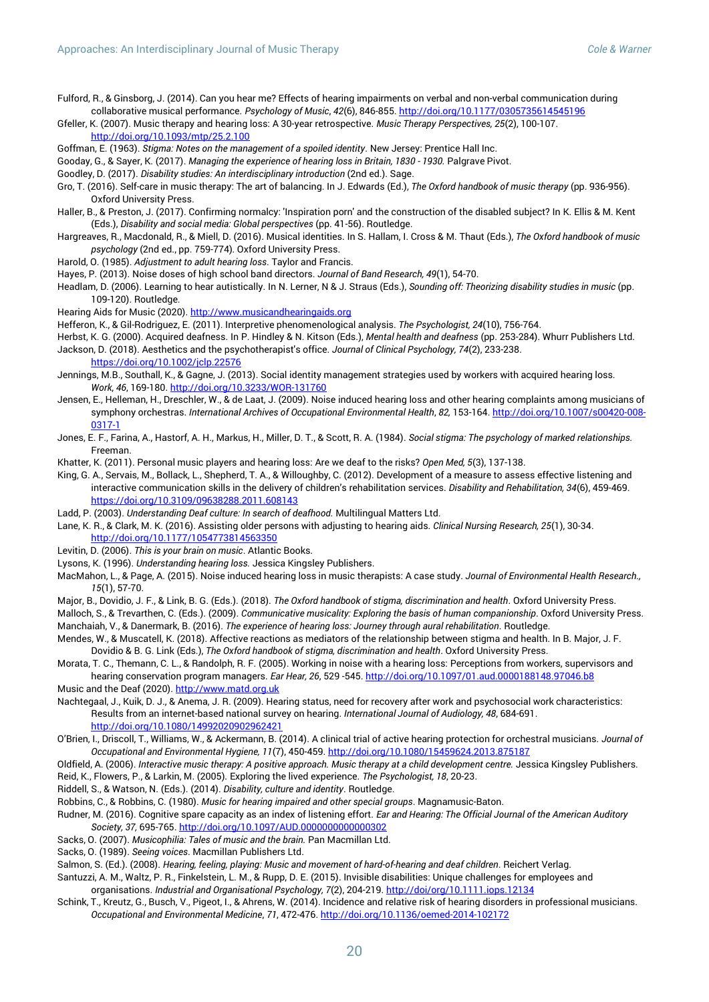Fulford, R., & Ginsborg, J. (2014). Can you hear me? Effects of hearing impairments on verbal and non-verbal communication during collaborative musical performance. *Psychology of Music*, *42*(6), 846-855[. http://doi.org/10.1177/0305735614545196](http://doi.org/10.1177/0305735614545196)

Gfeller, K. (2007). Music therapy and hearing loss: A 30-year retrospective. *Music Therapy Perspectives, 25*(2), 100-107. <http://doi.org/10.1093/mtp/25.2.100>

Goffman, E. (1963). *Stigma: Notes on the management of a spoiled identity*. New Jersey: Prentice Hall Inc.

Gooday, G., & Sayer, K. (2017). *Managing the experience of hearing loss in Britain, 1830 - 1930.* Palgrave Pivot.

- Goodley, D. (2017). *Disability studies: An interdisciplinary introduction* (2nd ed.). Sage.
- Gro, T. (2016). Self-care in music therapy: The art of balancing. In J. Edwards (Ed.), *The Oxford handbook of music therapy* (pp. 936-956). Oxford University Press.
- Haller, B., & Preston, J. (2017). Confirming normalcy: 'Inspiration porn' and the construction of the disabled subject? In K. Ellis & M. Kent (Eds.), *Disability and social media: Global perspectives* (pp. 41-56). Routledge.
- Hargreaves, R., Macdonald, R., & Miell, D. (2016). Musical identities. In S. Hallam, I. Cross & M. Thaut (Eds.), *The Oxford handbook of music psychology* (2nd ed., pp. 759-774)*.* Oxford University Press.
- Harold, O. (1985). *Adjustment to adult hearing loss*. Taylor and Francis.
- Hayes, P. (2013). Noise doses of high school band directors. *Journal of Band Research, 49*(1), 54-70.
- Headlam, D. (2006). Learning to hear autistically. In N. Lerner, N & J. Straus (Eds.), *Sounding off: Theorizing disability studies in music* (pp. 109-120). Routledge.
- Hearing Aids for Music (2020). [http://www.musicandhearingaids.org](http://www.musicandhearingaids.org/)
- Hefferon, K., & Gil-Rodriguez, E. (2011). Interpretive phenomenological analysis. *The Psychologist, 24*(10), 756-764.
- Herbst, K. G. (2000). Acquired deafness. In P. Hindley & N. Kitson (Eds.), *Mental health and deafness* (pp. 253-284). Whurr Publishers Ltd.

Jackson, D. (2018). Aesthetics and the psychotherapist's office. *Journal of Clinical Psychology, 74*(2), 233-238. <https://doi.org/10.1002/jclp.22576>

- Jennings, M.B., Southall, K., & Gagne, J. (2013). Social identity management strategies used by workers with acquired hearing loss. *Work*, *46*, 169-180[. http://doi.org/10.3233/WOR-131760](http://doi.org/10.3233/WOR-131760)
- Jensen, E., Helleman, H., Dreschler, W., & de Laat, J. (2009). Noise induced hearing loss and other hearing complaints among musicians of symphony orchestras. *International Archives of Occupational Environmental Health*, *82,* 153-164. [http://doi.org/10.1007/s00420-008-](http://doi.org/10.1007/s00420-008-0317-1) [0317-1](http://doi.org/10.1007/s00420-008-0317-1)
- Jones, E. F., Farina, A., Hastorf, A. H., Markus, H., Miller, D. T., & Scott, R. A. (1984). *Social stigma: The psychology of marked relationships.* Freeman.
- Khatter, K. (2011). Personal music players and hearing loss: Are we deaf to the risks? *Open Med, 5*(3), 137-138.
- King, G. A., Servais, M., Bollack, L., Shepherd, T. A., & Willoughby, C. (2012). Development of a measure to assess effective listening and interactive communication skills in the delivery of children's rehabilitation services. *Disability and Rehabilitation, 34*(6), 459-469. <https://doi.org/10.3109/09638288.2011.608143>
- Ladd, P. (2003). *Understanding Deaf culture: In search of deafhood.* Multilingual Matters Ltd.
- Lane, K. R., & Clark, M. K. (2016). Assisting older persons with adjusting to hearing aids. *Clinical Nursing Research, 25*(1), 30-34. <http://doi.org/10.1177/1054773814563350>
- Levitin, D. (2006). *This is your brain on music*. Atlantic Books.
- Lysons, K. (1996). *Understanding hearing loss.* Jessica Kingsley Publishers.
- MacMahon, L., & Page, A. (2015). Noise induced hearing loss in music therapists: A case study. *Journal of Environmental Health Research., 15*(1), 57-70.
- Major, B., Dovidio, J. F., & Link, B. G. (Eds.). (2018). *The Oxford handbook of stigma, discrimination and health*. Oxford University Press.
- Malloch, S., & Trevarthen, C. (Eds.). (2009). *Communicative musicality: Exploring the basis of human companionship*. Oxford University Press. Manchaiah, V., & Danermark, B. (2016). *The experience of hearing loss: Journey through aural rehabilitation*. Routledge.
- Mendes, W., & Muscatell, K. (2018). Affective reactions as mediators of the relationship between stigma and health. In B. Major, J. F. Dovidio & B. G. Link (Eds.), *The Oxford handbook of stigma, discrimination and health*. Oxford University Press.
- Morata, T. C., Themann, C. L., & Randolph, R. F. (2005). Working in noise with a hearing loss: Perceptions from workers, supervisors and hearing conservation program managers. *Ear Hear, 26*, 529 -545. <http://doi.org/10.1097/01.aud.0000188148.97046.b8>
- Music and the Deaf (2020)[. http://www.matd.org.uk](http://www.matd.org.uk/)
- Nachtegaal, J., Kuik, D. J., & Anema, J. R. (2009). Hearing status, need for recovery after work and psychosocial work characteristics: Results from an internet-based national survey on hearing. *International Journal of Audiology, 48*, 684-691. <http://doi.org/10.1080/14992020902962421>
- O'Brien, I., Driscoll, T., Williams, W., & Ackermann, B. (2014). A clinical trial of active hearing protection for orchestral musicians. *Journal of Occupational and Environmental Hygiene, 11*(7), 450-459. <http://doi.org/10.1080/15459624.2013.875187>
- Oldfield, A. (2006). *Interactive music therapy: A positive approach. Music therapy at a child development centre.* Jessica Kingsley Publishers.
- Reid, K., Flowers, P., & Larkin, M. (2005). Exploring the lived experience. *The Psychologist, 18*, 20-23.
- Riddell, S., & Watson, N. (Eds.). (2014). *Disability, culture and identity*. Routledge.
- Robbins, C., & Robbins, C. (1980). *Music for hearing impaired and other special groups*. Magnamusic-Baton.
- Rudner, M. (2016). Cognitive spare capacity as an index of listening effort. *Ear and Hearing: The Official Journal of the American Auditory Society, 37,* 695-765. <http://doi.org/10.1097/AUD.0000000000000302>
- Sacks, O. (2007). *Musicophilia: Tales of music and the brain.* Pan Macmillan Ltd.
- Sacks, O. (1989). *Seeing voices*. Macmillan Publishers Ltd.

Salmon, S. (Ed.). (2008). *Hearing, feeling, playing: Music and movement of hard-of-hearing and deaf children*. Reichert Verlag.

- Santuzzi, A. M., Waltz, P. R., Finkelstein, L. M., & Rupp, D. E. (2015). Invisible disabilities: Unique challenges for employees and organisations. *Industrial and Organisational Psychology, 7*(2), 204-219. <http://doi/org/10.1111.iops.12134>
- Schink, T., Kreutz, G., Busch, V., Pigeot, I., & Ahrens, W. (2014). Incidence and relative risk of hearing disorders in professional musicians. *Occupational and Environmental Medicine*, *71*, 472-476. <http://doi.org/10.1136/oemed-2014-102172>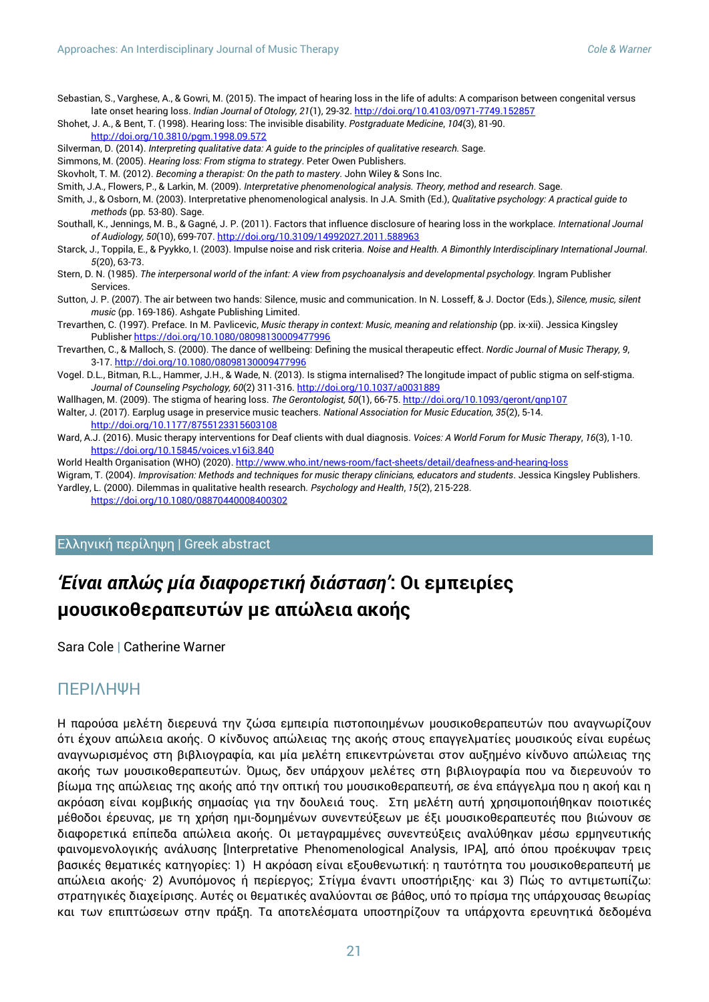Sebastian, S., Varghese, A., & Gowri, M. (2015). The impact of hearing loss in the life of adults: A comparison between congenital versus late onset hearing loss. *Indian Journal of Otology, 21*(1), 29-32[. http://doi.org/10.4103/0971-7749.152857](http://doi.org/10.4103/0971-7749.152857)

Shohet, J. A., & Bent, T. (1998). Hearing loss: The invisible disability. *Postgraduate Medicine*, *104*(3), 81-90. <http://doi.org/10.3810/pgm.1998.09.572>

- Silverman, D. (2014). *Interpreting qualitative data: A guide to the principles of qualitative research.* Sage.
- Simmons, M. (2005). *Hearing loss: From stigma to strategy*. Peter Owen Publishers.
- Skovholt, T. M. (2012). *Becoming a therapist: On the path to mastery*. John Wiley & Sons Inc.
- Smith, J.A., Flowers, P., & Larkin, M. (2009). *Interpretative phenomenological analysis. Theory, method and research*. Sage.
- Smith, J., & Osborn, M. (2003). Interpretative phenomenological analysis. In J.A. Smith (Ed.), *Qualitative psychology: A practical guide to methods* (pp. 53-80). Sage.
- Southall, K., Jennings, M. B., & Gagné, J. P. (2011). Factors that influence disclosure of hearing loss in the workplace. *International Journal of Audiology, 50*(10), 699-707. <http://doi.org/10.3109/14992027.2011.588963>
- Starck, J., Toppila, E., & Pyykko, I. (2003). Impulse noise and risk criteria. *Noise and Health. A Bimonthly Interdisciplinary International Journal*. *5*(20), 63-73.
- Stern, D. N. (1985). *The interpersonal world of the infant: A view from psychoanalysis and developmental psychology.* Ingram Publisher **Services**
- Sutton, J. P. (2007). The air between two hands: Silence, music and communication. In N. Losseff, & J. Doctor (Eds.), *Silence, music, silent music* (pp. 169-186). Ashgate Publishing Limited.
- Trevarthen, C. (1997). Preface. In M. Pavlicevic, *Music therapy in context: Music, meaning and relationship* (pp. ix-xii). Jessica Kingsley Publisher <https://doi.org/10.1080/08098130009477996>
- Trevarthen, C., & Malloch, S. (2000). The dance of wellbeing: Defining the musical therapeutic effect. *Nordic Journal of Music Therapy, 9*, 3-17. <http://doi.org/10.1080/08098130009477996>
- Vogel. D.L., Bitman, R.L., Hammer, J.H., & Wade, N. (2013). Is stigma internalised? The longitude impact of public stigma on self-stigma. *Journal of Counseling Psychology, 60*(2) 311-316[. http://doi.org/10.1037/a0031889](http://doi.org/10.1037/a0031889)
- Wallhagen, M. (2009). The stigma of hearing loss. *The Gerontologist, 50*(1), 66-75. <http://doi.org/10.1093/geront/gnp107>
- Walter, J. (2017). Earplug usage in preservice music teachers. *National Association for Music Education, 35*(2), 5-14. <http://doi.org/10.1177/8755123315603108>
- Ward, A.J. (2016). Music therapy interventions for Deaf clients with dual diagnosis. *Voices: A World Forum for Music Therapy*, *16*(3), 1-10. <https://doi.org/10.15845/voices.v16i3.840>
- World Health Organisation (WHO) (2020). <http://www.who.int/news-room/fact-sheets/detail/deafness-and-hearing-loss>
- Wigram, T. (2004). *Improvisation: Methods and techniques for music therapy clinicians, educators and students*. Jessica Kingsley Publishers. Yardley, L. (2000). Dilemmas in qualitative health research. *Psychology and Health*, *15*(2), 215-228.

<https://doi.org/10.1080/08870440008400302>

#### Ελληνική περίληψη | Greek abstract

## *'Είναι απλώς μία διαφορετική διάσταση'***: Οι εμπειρίες μουσικοθεραπευτών με απώλεια ακοής**

Sara Cole **|** Catherine Warner

#### ΠΕΡΙΛΗΨΗ

Η παρούσα μελέτη διερευνά την ζώσα εμπειρία πιστοποιημένων μουσικοθεραπευτών που αναγνωρίζουν ότι έχουν απώλεια ακοής. Ο κίνδυνος απώλειας της ακοής στους επαγγελματίες μουσικούς είναι ευρέως αναγνωρισμένος στη βιβλιογραφία, και μία μελέτη επικεντρώνεται στον αυξημένο κίνδυνο απώλειας της ακοής των μουσικοθεραπευτών. Όμως, δεν υπάρχουν μελέτες στη βιβλιογραφία που να διερευνούν το βίωμα της απώλειας της ακοής από την οπτική του μουσικοθεραπευτή, σε ένα επάγγελμα που η ακοή και η ακρόαση είναι κομβικής σημασίας για την δουλειά τους. Στη μελέτη αυτή χρησιμοποιήθηκαν ποιοτικές μέθοδοι έρευνας, με τη χρήση ημι-δομημένων συνεντεύξεων με έξι μουσικοθεραπευτές που βιώνουν σε διαφορετικά επίπεδα απώλεια ακοής. Οι μεταγραμμένες συνεντεύξεις αναλύθηκαν μέσω ερμηνευτικής φαινομενολογικής ανάλυσης [Interpretative Phenomenological Analysis, ΙΡΑ], από όπου προέκυψαν τρεις βασικές θεματικές κατηγορίες: 1) Η ακρόαση είναι εξουθενωτική: η ταυτότητα του μουσικοθεραπευτή με απώλεια ακοής· 2) Ανυπόμονος ή περίεργος; Στίγμα έναντι υποστήριξης· και 3) Πώς το αντιμετωπίζω: στρατηγικές διαχείρισης. Αυτές οι θεματικές αναλύονται σε βάθος, υπό το πρίσμα της υπάρχουσας θεωρίας και των επιπτώσεων στην πράξη. Τα αποτελέσματα υποστηρίζουν τα υπάρχοντα ερευνητικά δεδομένα